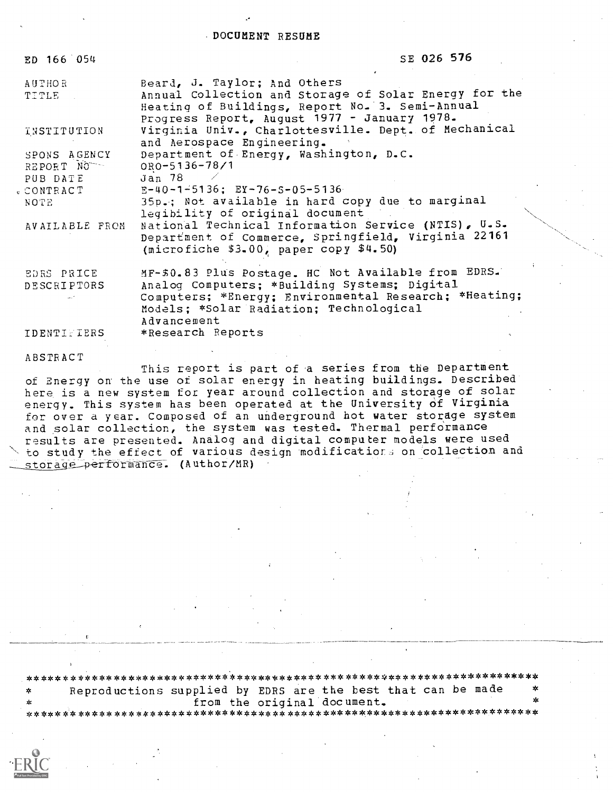DOCUMENT RESUME

| ED 166 054                       | SE 026 576                                                                                                                                                                                                             |
|----------------------------------|------------------------------------------------------------------------------------------------------------------------------------------------------------------------------------------------------------------------|
| AUTHOR -<br>TITLE                | Beard, J. Taylor; And Others<br>Annual Collection and Storage of Solar Energy for the<br>Heating of Buildings, Report No. 3. Semi-Annual<br>Progress Report, August 1977 - January 1978.                               |
| INSTITUTION                      | Virginia Univ., Charlottesville. Dept. of Mechanical<br>and Aerospace Engineering.                                                                                                                                     |
| SPONS AGENCY<br>REPORT NO        | Department of Energy, Washington, D.C.<br>ORO-5136-78/1                                                                                                                                                                |
| PUB DATE<br>. CONTRACT           | Jan 78<br>$E-40-1+5136$ ; $EY-76-5-05-5136$                                                                                                                                                                            |
| NOTE                             | 35p.; Not available in hard copy due to marginal<br>legibility of original document                                                                                                                                    |
| AVAILABLE FROM                   | National Technical Information Service (NTIS), U.S.<br>Department of Commerce, Springfield, Virginia 22161<br>(microfiche \$3.00, paper copy \$4.50)                                                                   |
| EDRS PRICE<br><b>DESCRIPTORS</b> | MF-\$0.83 Plus Postage. HC Not Available from EDRS.<br>Analog Computers; *Building Systems; Digital<br>Computers; *Energy; Environmental Research; *Heating;<br>Models; *Solar Radiation; Technological<br>Advancement |
| <b>IDENTIFIERS</b>               | *Research Reports                                                                                                                                                                                                      |
|                                  |                                                                                                                                                                                                                        |

ABSTRACT

This report is part of a series from the Department of Energy on the use of solar energy in heating buildings. Described here is a new system for year around collection and storage of solar energy. This system has been operated at the University of Virginia for over a year. Composed of an underground hot water storage system and solar collection, the system was tested. Thermal performance<br>results are presented. Analog and digital computer models were used to study the effect of various design modifications on collection and storage performance. (Author/MR)

Reproductions supplied by EDRS are the best that can be made from the original document.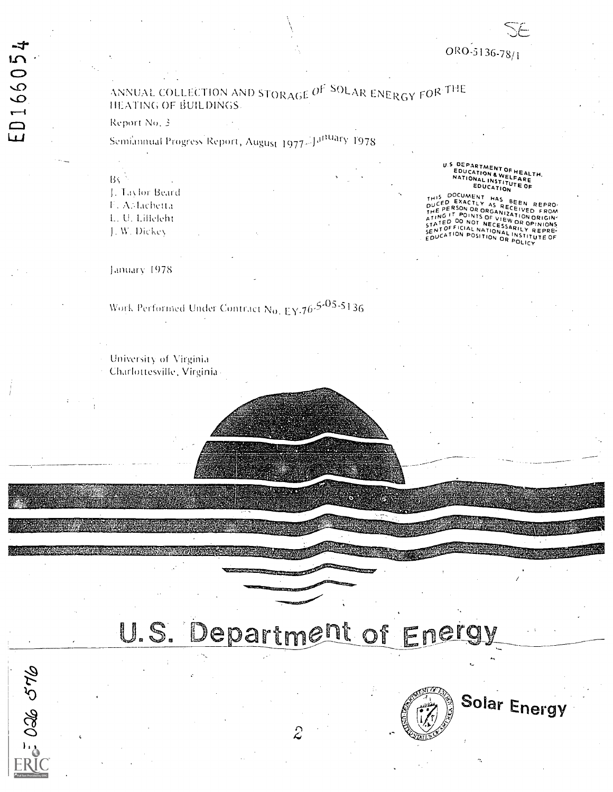$5026576$ 

# ANNUAL COLLECTION AND STORAGE OF SOLAR ENERGY FOR THE HEATING OF BUILDINGS.

#### Report No. 3

# Semiannual Progress Report, August 1977-Jaftuary 1978

BV.

J. Taylor Beard F. AMachetta

L. U. Lilleleht

J. W. Dickey

January 1978

# Work Performed Under Contract No. EY.76-5-05-5136

University of Virginia

Charlottesville, Virginia-

U.S DEPARTMENT OF HEALTH.<br>EDUCATION & WELFARE<br>NATIONAL INSTITUTE OF<br>EDUCATION

THIS DOCUMENT HAS BEEN REPRO-<br>DUCED EXACTLY AS RECEIVED FROM<br>THE PERSON OR ORGANIZATION ORIGIN-<br>THE PERSON OR ORGANIZATION ORIGIN-<br>STATED OO NOT NECESSARILY REPRE-<br>SENTOFFICIAL NATIONAL INSTITUTE OF<br>COUCATION POSITION OR P SENTOR TIGHT IN THE NATIONAL INSTIT

# U.S. Department of Energy



Solar Energy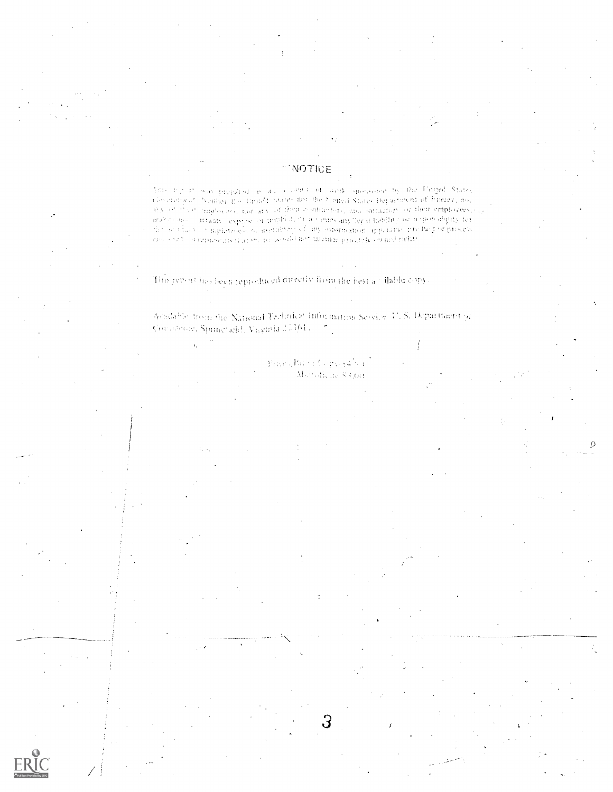#### NOTICE

Thus that the was properly of the later and the official species are by the United States Geometrical Martin for the<br>advertising the theory building and the functions become Department of Finergy, no<br>any of their larging anabas ago - arrante - expesso or angibilitat a varios anythega hability of responsibility for the state of subjectiveless of manipular equal approximation abilitation the property of biometers and send on representing the recovered not intrinse privately owned ratht-

The preset has been reproduced directly from the best and lable copy-

Available, from the National Technical Information Service, U.S. Department of Constitutions, Spinicheld, Viaginia 20101. [17]

> Principlate information is Monaffelie S3 (9)

> > З

£.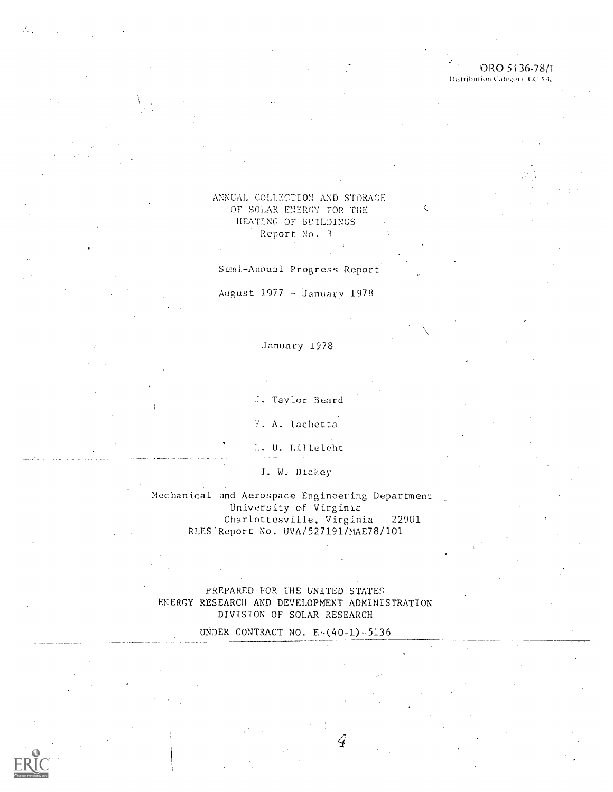## ORO-5136-78/1

Distribution Category, UC-59c

N

#### ANNUAL COLLECTION AND STORAGE OF SOLAR ENERGY FOR THE HEATING OF BVILDINGS Report No. <sup>3</sup>

Semi-Annual Progress Report

August  $1977 -$  January 1978

#### January 1978

A. Taylor Beard

F. A. Iachetta

L. U. Liltelcht

J. W. Dickey

Mechanical and Aerospace Engineering Department University of Virginia Charlottesville, Virginia 22901 RLES'Report No. UVA/527191/MAE78/101

#### PREPARED FOR THE UNITED STATES ENERGY RESEARCH AND DEVELOPMENT ADMINISTRATION DIVISION OF SOLAR RESEARCH

UNDER CONTRACT NO.  $E-(40-1)-5136$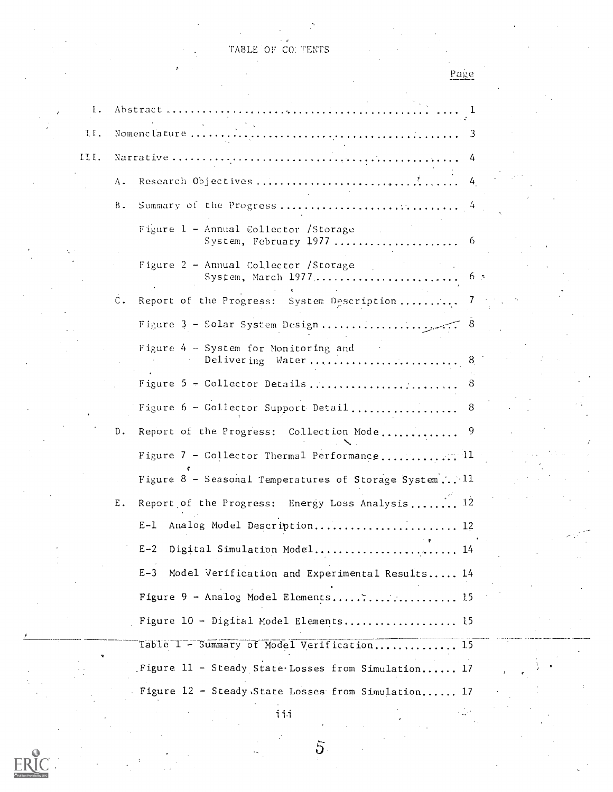TABLE OF CO: TENTS

| Page |  |
|------|--|
|      |  |

| 1.   |                |                                                            |
|------|----------------|------------------------------------------------------------|
| II.  |                |                                                            |
| III. |                | 4                                                          |
|      | Λ.             | $\frac{1}{4}$                                              |
|      | Β.             |                                                            |
|      |                | Figure 1 - Annual Collector /Storage                       |
|      |                | Figure 2 - Annual Collector /Storage                       |
|      | $\mathsf{C}$ . | Report of the Progress: System Description 7               |
|      |                |                                                            |
|      |                | Figure 4 - System for Monitoring and<br>Delivering Water 8 |
|      |                |                                                            |
|      |                | Figure 6 - Collector Support Detail 8                      |
|      | D.             |                                                            |
|      |                | Figure 7 - Collector Thermal Performance11                 |
|      |                | Figure 8 - Seasonal Temperatures of Storage System 11      |
|      | Ε.             | Report of the Progress: Energy Loss Analysis 12            |
|      |                | E-1 Analog Model Description<br>. 12                       |
|      |                | $E-2$<br>Digital Simulation Model 14                       |
|      |                | $E-3$<br>Model Verification and Experimental Results 14    |
|      |                | Figure 9 - Analog Model Elements 15                        |
|      |                | Figure 10 - Digital Model Elements 15                      |
|      |                | Table 1 - Summary of Model Verification 15                 |
|      |                | Figure 11 - Steady State Losses from Simulation 17         |
|      |                | Figure 12 - Steady State Losses from Simulation 17         |

 $\frac{1}{1}$ ii

 $\overline{5}$ 

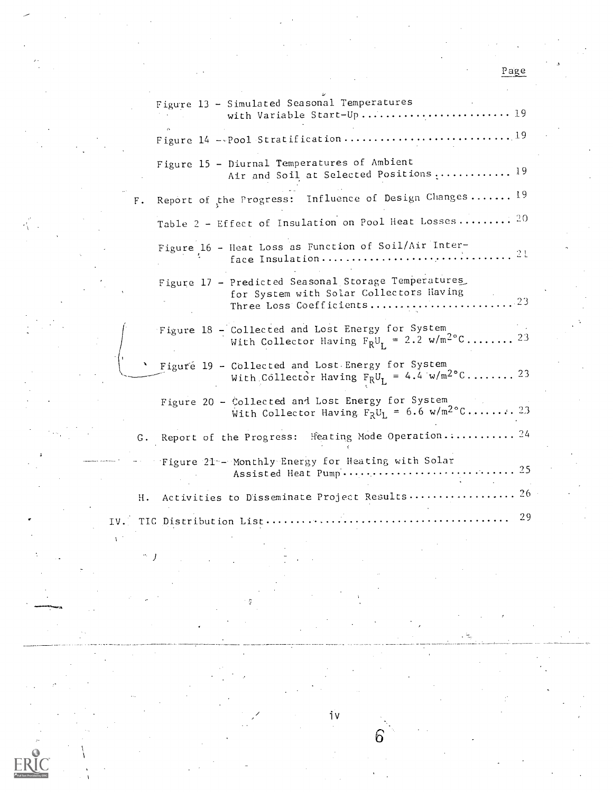|      |       | Figure 13 - Simulated Seasonal Temperatures<br>with Variable Start-Up 19                                                                               |  |
|------|-------|--------------------------------------------------------------------------------------------------------------------------------------------------------|--|
|      |       |                                                                                                                                                        |  |
|      |       | Figure 15 - Diurnal Temperatures of Ambient<br>Air and Soil at Selected Positions  19                                                                  |  |
|      | $F$ . | Report of the Progress: Influence of Design Changes 19                                                                                                 |  |
|      |       | Table 2 - Effect of Insulation on Pool Heat Losses 20                                                                                                  |  |
|      |       | Figure 16 - Heat Loss as Function of Soil/Air Inter-<br>$\ldots$ 21<br>face Insulation                                                                 |  |
|      |       | Figure 17 - Predicted Seasonal Storage Temperatures<br>for System with Solar Collectors Having<br>$\ldots \ldots \ldots 23$<br>Three Loss Coefficients |  |
|      |       | Figure 18 - Collected and Lost Energy for System<br>With Collector Having $F_RU_I = 2.2 \text{ w/m}^2\text{°C} \dots \dots \dots \text{ } 23$          |  |
|      |       | Figure 19 - Collected and Lost Energy for System<br>With Collector Having $F_RU_L = 4.\dot{4}$ w/m <sup>2°</sup> C 23                                  |  |
|      |       | Figure 20 - Collected and Lost Energy for System<br>With Collector Having $F_R U_L = 6.6 \text{ w/m}^2 C \dots \dots \dots 2.3$                        |  |
|      |       | Heating Mode Operation 24<br>G. Report of the Progress:                                                                                                |  |
|      |       | Figure 21 - Monthly Energy for Heating with Solar                                                                                                      |  |
|      | н.    | Activities to Disseminate Project Results 26                                                                                                           |  |
| IV.T |       | 29<br>TIC Distribution List                                                                                                                            |  |
|      |       |                                                                                                                                                        |  |

iv

6

El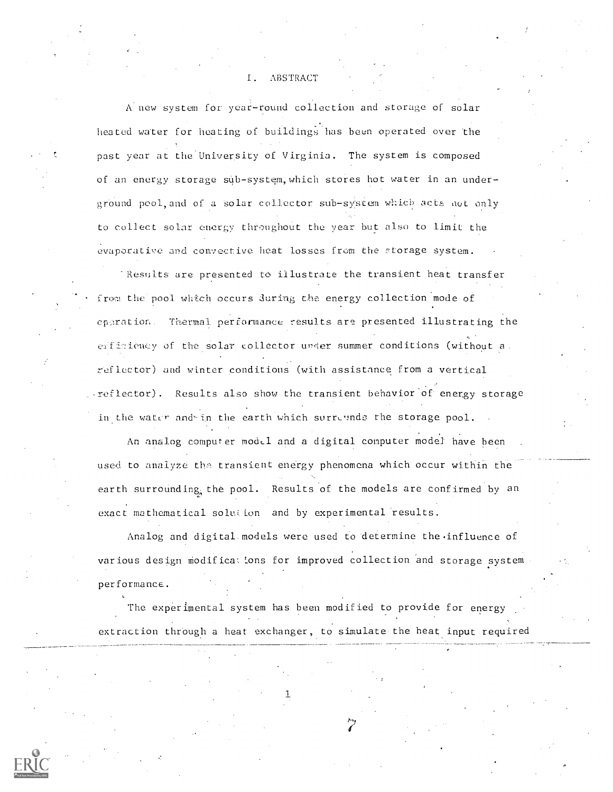#### I. ABSTRACT

A new system for year-round collection and storage of solar heated water for heating of buildings has been operated over the past year at the University of Virginia. The system is composed of an energy storage sub-system, which stores hot water in an underground pool, and of a solar collector sub-system which acts not only to collect solar energy throughout the year but also to limit the evaporative and convective heat losses from the storage system.

-Results are presented to illustrate the transient heat transfer from the pool which occurs during the energy collection mode of cperation. Thermal performance results are presented illustrating the efficiency of the solar collector under summer conditions (without a. ref lector) and winter conditions (with assistance from a vertical reflector). Results also show the transient behavior of energy storage in the water and-in the earth which surreunds the storage pool.

An analog computer model and a digital computer model have been used to analyze the transient energy phenomena which occur within the earth surrounding, the pool. Results of the models are confirmed by an exact mathematical solution and by experimental results.

Analog and digital models were used to determine the influence of various design modifications for improved collection and storage system performance.

The experimental system has been modified to provide for energy extraction through a heat exchanger, to simulate the heat input required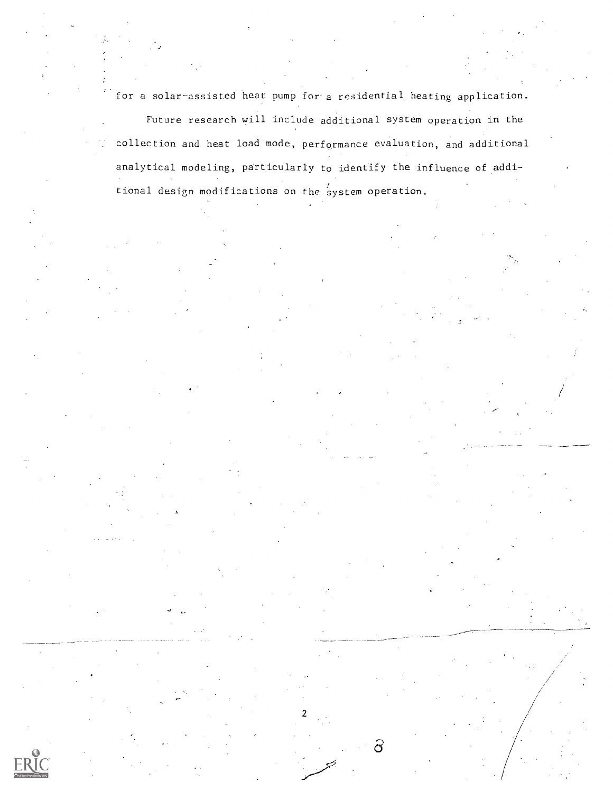for a solar-assisted heat pump for a residential heating application.

Future research will include additional system operation in the collection and heat load mode, performance evaluation, and additional analytical modeling, particularly to identify the influence of additional design modifications on the system operation.

2

ටි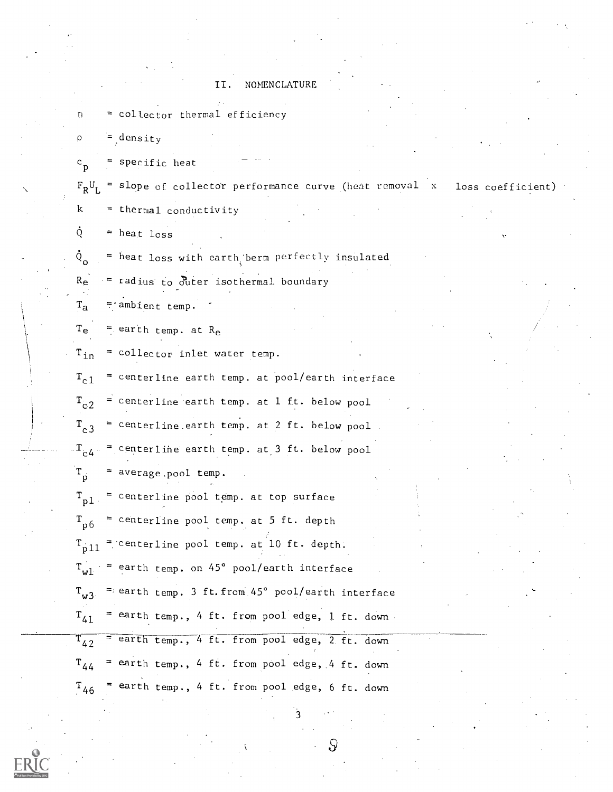#### II. NOMENCLATURE

= collector thermal efficiency

 $=$  density

p

n.

p = specific heat

 $\mathbb{F}_{\mathsf{R}} \mathsf{U}_{\mathsf{L}}$  = slope of collector performance curve (heat removal  $\mathsf{x}$  - loss coefficient)  $k =$  thermal conductivity  $\dot{Q}$  = heat loss

 $\circ$  = heat loss with earth, berm perfectly insulated

 $R_e$  = radius to outer isothermal boundary

 $T_a$  = ambient temp.

 $T_e$  = earth temp. at  $R_e$ 

 $T_{in}$  = collector inlet water temp.

 $T_{c1}$  = centerline earth temp. at pool/earth interface

 $T_{c2}$  = centerline earth temp. at 1 ft. below pool

 $T_{c3}$  = centerline earth temp. at 2 ft. below pool

 $\rm T_{c4}$  = centerline earth temp. at 3 ft. below pool

 $T_p$  = average.pool temp.

 $T_{n1}$  = centerline pool temp, at top surface  $\rm T_{p6}$  = centerline pool temp. at 5 ft. depth  $T_{\text{pll}}$  = centerline pool temp. at 10 ft. depth.  $T_{\rm w1}$  = earth temp. on 45° pool/earth interface  $\rm T_{w3}$   $\,$  = earth temp. 3 ft.from 45° pool/earth interface  $\rm T_{41}$  = earth temp., 4 ft. from pool edge, 1 ft. down  $T_{42}$  = earth temp., 4 ft. from pool edge, 2 ft. down

 $\rm T_{44}$  = earth temp., 4 ft. from pool edge, 4 ft. down  $T_{46}$  = earth temp., 4 ft. from pool edge, 6 ft. down

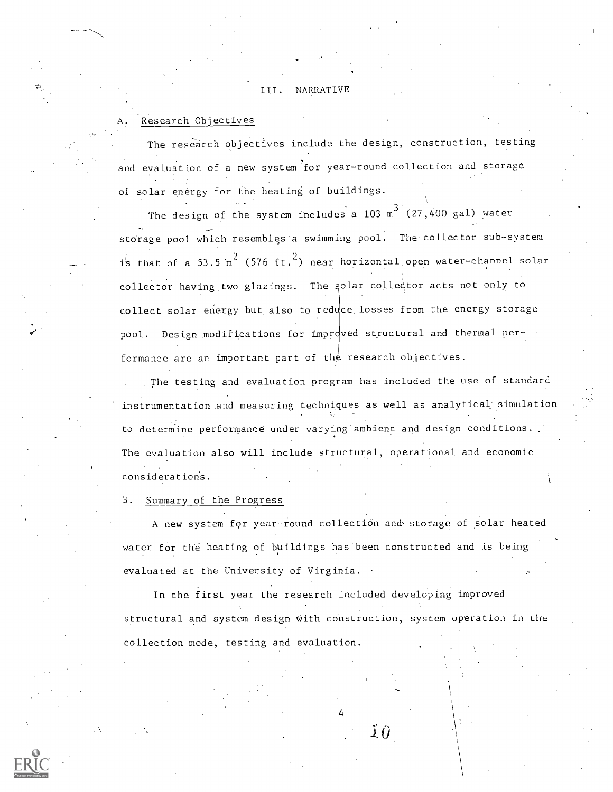#### III. NARRATIVE

#### Research Objectives

The research objectives include the design, construction, testing and evaluation of a new system for year-round collection and storage of solar energy for the heating of buildings.

The design of the system includes a  $103 \text{ m}^3$  (27,400 gal) water storage pool which resembles'a swimming pool. The'collector sub-system is that of a 53.5  ${\tt m}^2$  (576 ft.<sup>2</sup>) near horizontal open water-channel solar collector having two glazings. The solar collector acts not only to collect solar energy but also to reduce losses from the energy storage pool. Design modifications for improved structural and thermal performance are an important part of the research objectives.

The testing and evaluation program has included the use of standard instrumentation.and measuring techniques as well as analytical' simulation to determine performance under varying ambient and design conditions. The evaluation also will include structural, operational and economic considerations'.

#### B. Summary of the Progress

A new system for year-round collection and storage of solar heated water for the heating of buildings has been constructed and is being evaluated at the University of Virginia.

In the first year the research included developing improved structural and system design with construction, system operation in the collection mode, testing and evaluation.

4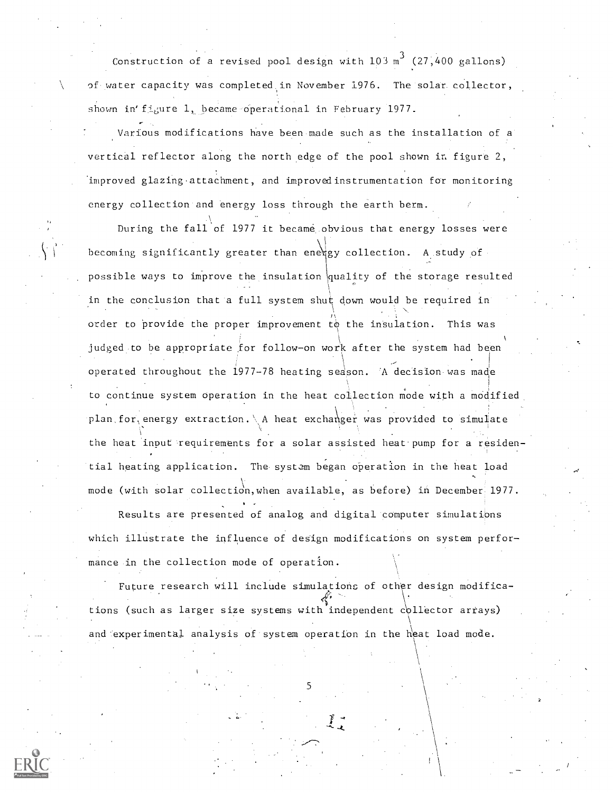Construction of a revised pool design with  $103 \text{ m}^3$  (27,400 gallons) of water capacity was completed, in November 1976. The solar collector, shown in'figure 1, became operational in February 1977.

Various modifications have been made such as the installation of a vertical reflector along the north edge of the pool shown in figure 2, improved glazing attachment, and improvedinstrumentation for monitoring energy collection and energy loss through the earth berm.

During the fall of 1977 it became obvious that energy losses were becoming significantly greater than energy collection. A study of possible ways to improve the insulation quality of the storage resulted in the conclusion that a full system shut down would be required in order to provide the proper improvement to the insulation. This was judged to be appropriate for follow-on work after the system had been operated throughout the 1977-78 heating season. 'A decision-was made to continue system operation in the heat collection mode with a modified. plan for energy extraction. \ A heat exchanger was provided to simulate the heat input requirements for a solar assisted heat pump for a residen- . tial heating application. The system began operation in the heat load mode (with solar collection, when available, as before) in December 1977.

Results are presented of analog and digital computer simulations which illustrate the influence of design modifications on system performance in the collection mode of operation.

Future research will include simulations of other design modifica- , tions (such as larger size systems with independent collector arrays) and experimental analysis of system operation in the heat load mode.

5

\ .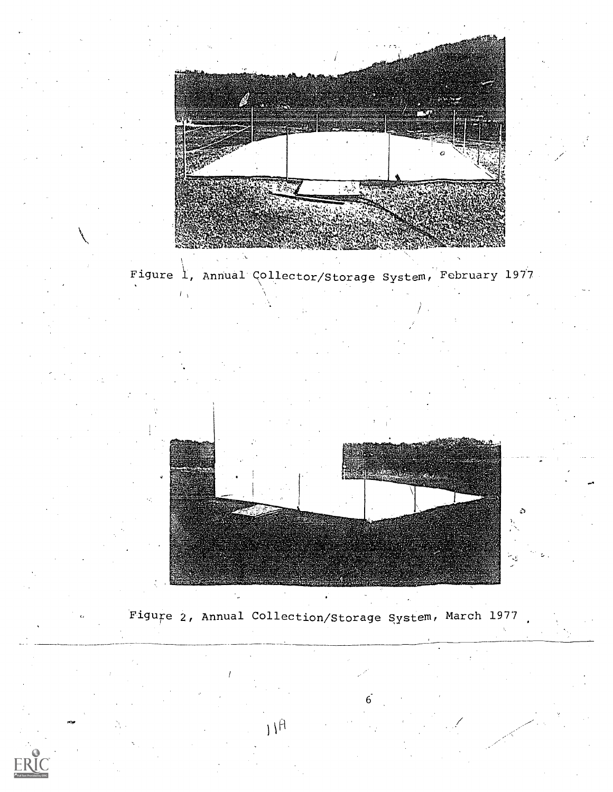

Figure 1, Annual Collector/Storage System, February 1977



Figure 2, Annual Collection/Storage System, March 1977

 $11<sup>fl</sup>$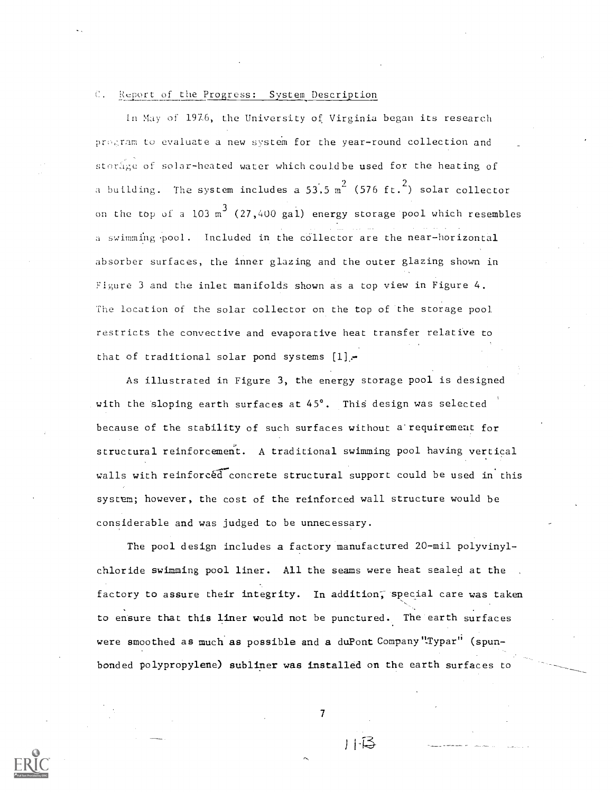#### C. Report of the Progress: System Description

In May of 1976, the University of Virginia began its research program to evaluate a new system for the year-round collection and storinge of solar-heated water which couldbe used for the heating of a building. The system includes a 53.5  ${\rm m}^{2}$  (576 ft.<sup>2</sup>) solar collector on the top of a  $103 \text{ m}^3$  (27,400 gal) energy storage pool which resembles a swimming pool. Included in the collector are the near-horizontal absorber surfaces, the inner glazing and the outer glazing shown in Figure 3 and the inlet manifolds shown as a top view in Figure 4. The location of the solar collector on the top of the storage pool restricts the convective and evaporative heat transfer relative to that of traditional solar pond systems  $[1]$ ,

As illustrated in Figure 3, the energy storage pool is designed with the sloping earth surfaces at  $45^\circ$ . This design was selected because of the stability of such surfaces without a requirement for structural reinforcement. A traditional swimming pool having vertical walls with reinforced concrete structural support could be used in this system; however, the cost of the reinforced wall structure would be considerable and was judged to be unnecessary.

The pool design includes a factory manufactured 20-mil polyvinylchloride swimming pool liner. All the seams were heat sealed at the factory to assure their integrity. In addition, special care was taken to ensure that this liner would not be punctured. The earth surfaces were smoothed as much as possible and a duPont Company"Typar" (spunbonded polypropylene) subliner was installed on the earth surfaces to

7

 $11-3$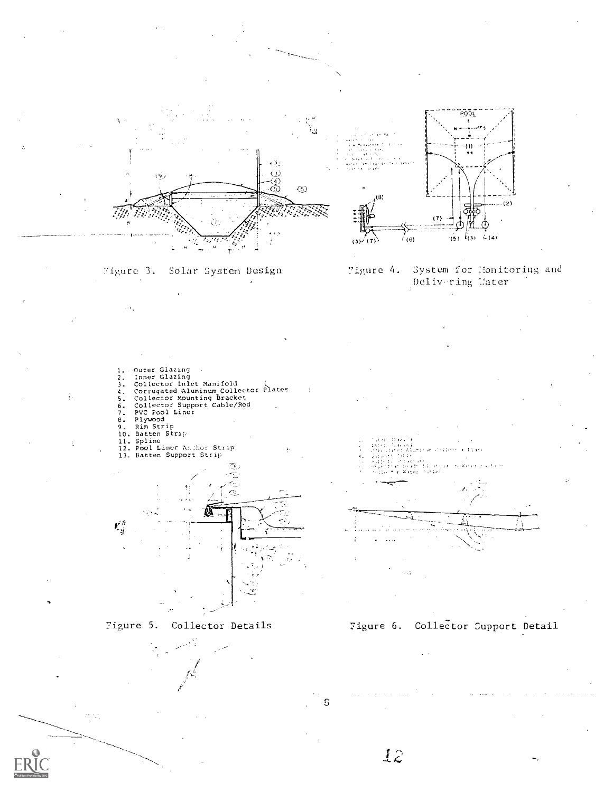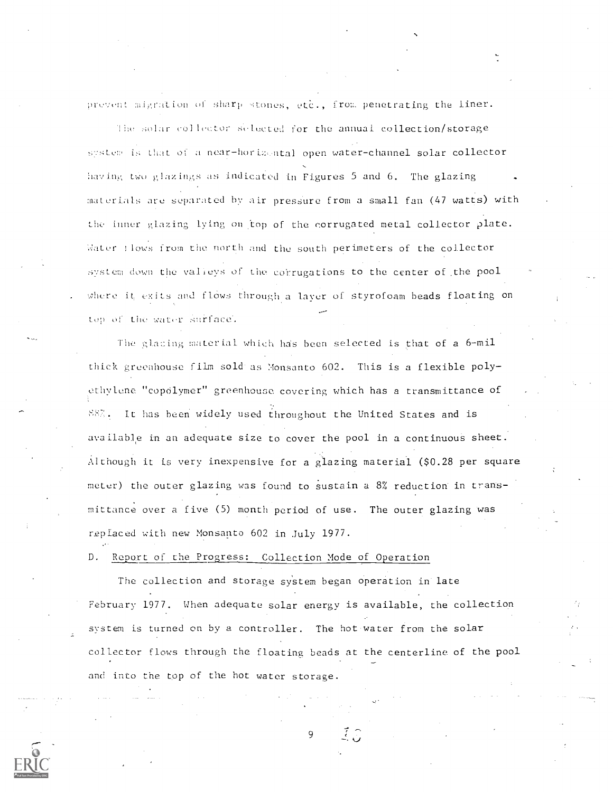prevent migration of sharp stones, etc., from penetrating the liner.

The solar collector setected for the annual collection/storage system is that of a near-horizontal open water-channel solar collector having two glazings as indicated in Figures 5 and 6. The glazing materials are separated by air pressure from a small fan (47 watts) with the inner glazing lying on top of the corrugated metal collector plate. Water : lows from the north and the south perimeters of the collector system down the valieys of the corrugations to the center of the pool where it exits and flows through a layer of styrofoam beads floating on top of the water surface.

The glazing material which has been selected is that of a 6-mil thick greenhouse film sold as Monsanto 602. This is a flexible poly ethvlene "copolymer" greenhouse covering which has a transmittance of 88%. It has been widely used throughout the United States and is available in an adequate size to cover the pool in a continuous sheet. Although it is very inexpensive for a glazing material (\$0.28 per square meter) the outer glazing was found to sustain a 8% reduction in transmittance over a five (5) month period of use. The outer glazing was replaced with new Monsanto 602 in July 1977.

D. Report of the Progress: Collection Mode of Operation

The collection and storage system began operation in late February 1977. When adequate solar energy is available, the collection system is turned on by a controller. The hot water from the solar collector flows through the floating beads at the centerline of the pool and into the top of the hot water storage.

9

 $\tilde{f}$   $\tilde{f}$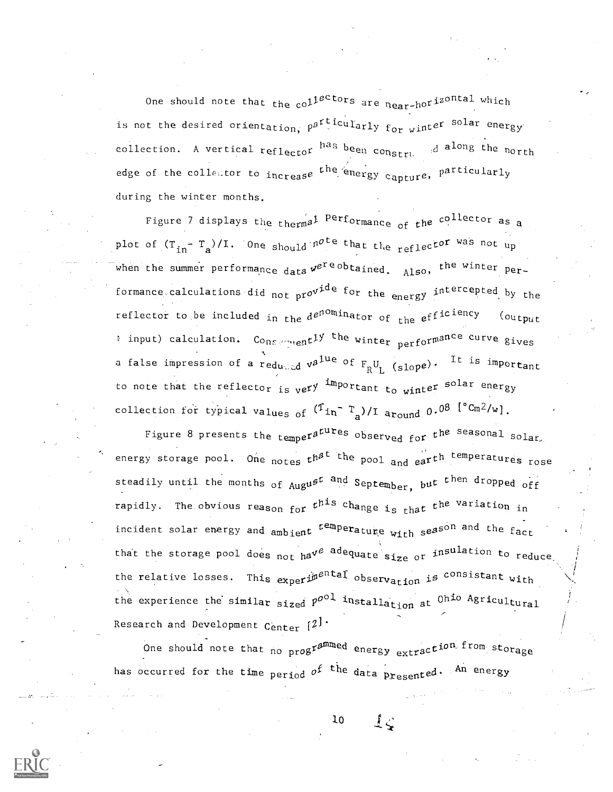One should note that the col<sup>lector</sup>s are  $_{\tt near-h0}$ rizontal which is not the desired orientation,  $\rho^{g}$ <sup>rticul</sup>arly f<sub>or wi</sub>nt*e*r solar energy collection. A vertical reflecto<sup>r has been construed along the north</sup> edge of the collector to increase <sup>the ener</sup>gy capture, particularly during the winter months.

Figure 7 displays the thermal Performance of the collector as a plot of  $(T_{in} - T_s)/I$ . One should note that the reflector was not up when the summer performance data  $v^{e^{\gamma}e\, \text{obtained}}$ , Also, the winter performance calculations did not pro<sup>vide for</sup> the energy int<sup>ercepted</sup> by the reflector to be included in the de<sup>nominator</sup> of the efficiency (output : input) calculation.  $C_{O_{RS} \simeq n_{1}e n_{2}t}$  the winter performance curve gives a false impression of a r $_{\rm edu\ldots dd}$  v $^{2^{\&\!u\!e}}$  of  $_{\rm F_{R}U_{L}}$  (slope).  $^{\rm It}$  is in It is important  $\mathbf{v}$  , where  $\mathbf{v}$ to note that the reflecto<sub>r is v</sub>ery <sup>im</sup>portant t<sub>o wi</sub>nter <sup>solar</sup> energy collection for typical values of  $({}^{\text{T}}\text{in}^-\text{ }^{\text{T}}_{\text{a}})/\text{I}$  around 0.08  $[{}^{\circ}\text{Cm}2/\text{w}]$ .

Figure 8 presents the <sub>tempe</sub>ra<sup>tures</sup> observ<sub>ed fo</sub>r t<sup>he seasonal</sup> solar, energy storage pool. One <sub>notes</sub> t<sup>hat the</sup> pool and eart<sup>h temperatures <sub>rose</sub></sup> steadily until the months of  $_{\text{Aug}}$ ust and September, but then dropped off rapidly. The obvious reason for  $t^{\texttt{pis}}$  change i<sub>s that</sub> the var the variation in incident solar energy and  $_{\tt ambien}$ t temperature with seaso<sup>n and</sup> the fact the season  $_{\tt fact}$ the relative losses. This  $_\textbf{expert}^\text{partal}$  observ<sub>ation</sub> is consistant with that the storage pool does  $_{\texttt{not}}$  ha<sup>ve adequate size or insulation to reduce,</sup> the experience the similar sized  $p^{\rm{ool}}$  installation at  $0^{\rm{hio}}$  Agricultural  $\hskip 10mm$ Research and Development Center  $[2]$ .

One should note that no programmed energy extraction from storage One should note that no programmed energy extraction from storage<br>has occurred for the time period o<sup>f the</sup> data presented. An energy

> $1, 1$ 10

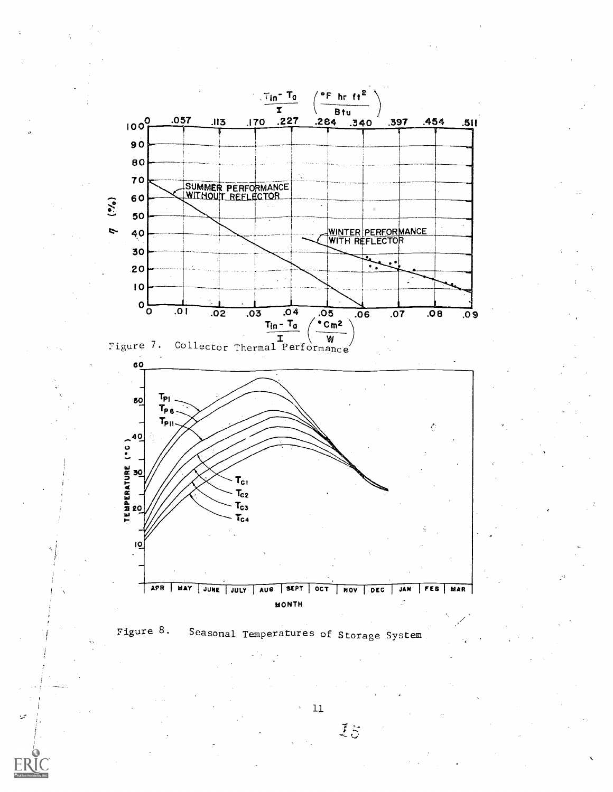



 $11\,$ 

 $\bar{z}$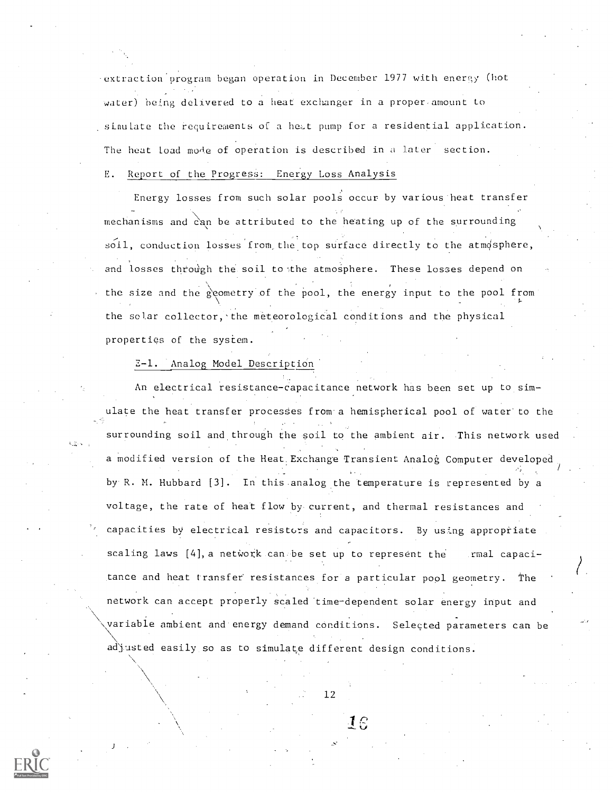-extraction program began operation in December 1977 with enerry (hot water) being delivered to a heat exchanger in a proper- amount to sinulate the requirements of a het pump for a residential application. The heat load mode of operation is described in a later section. E. Report of the Progress: Energy Loss Analysis

Energy losses from such solar pools occur by various heat transfer mechanisms and  $\stackrel{\sim}{\text{can}}$  be attributed to the heating up of the surrounding soil, conduction losses from the top surface directly to the atmosphere, and losses through the soil to the atmosphere. These losses depend on the size and the geometry of the pool, the energy input to the pool from the solar collector, the meteorological conditions and the physical properties of the system.

#### 2-1. Analog Model Description'

An electrical resistance-capacitance network has been set up to simulate the heat transfer processes from a hemispherical pool of water to the surrounding soil and, through the soil to the ambient air. This network used a modified version of the Heat Exchange Transient Analog Computer developed by R. M. Hubbard [3]. In this.analog the temperature is represented by a voltage, the rate of heat flow by-current, and thermal resistances and capacities by electrical resistors and capacitors. By using appropriate scaling laws  $[4]$ , a network can be set up to represent the rmal capacitance and heat transfer resistances for a particular pool geometry. The network can accept properly scaled 'time-dependent solar energy input and variable ambient and energy demand conditions. Selected parameters can be adjusted easily so as to simulate different design conditions.



12

IS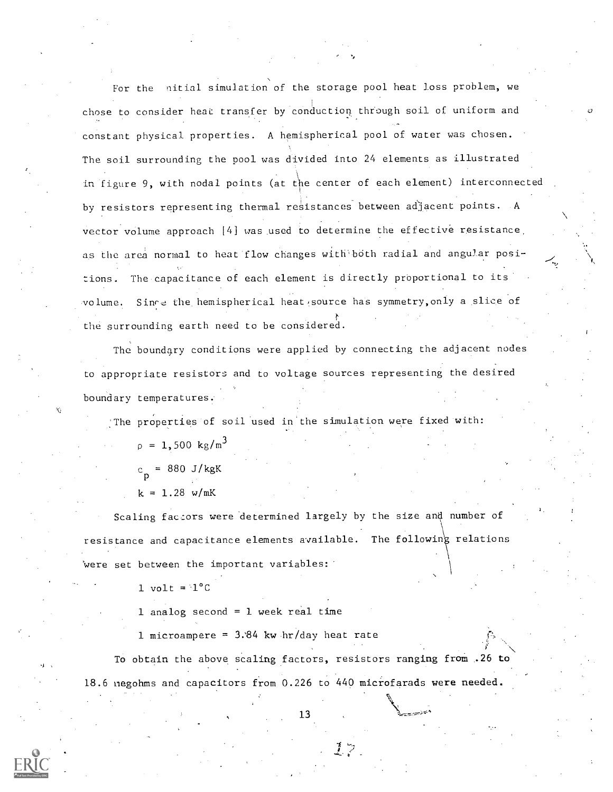For the nitial simulation of the storage pool heat loss problem, we chose to consider heat transfer by conduction through soil of uniform and constant physical properties. A hemispherical pool of water was chosen. The soil surrounding the pool was divided into 24 elements as illustrated in figure 9, with nodal points (at the center of each element) interconnected by resistors representing thermal resistances between adjacent points. A vector volume approach [4] was used to determine the effective resistance. as the area normal to heat flow changes with both radial and angular posiions. The capacitance of each element is directly proportional to its volume. Since the hemispherical heat source has symmetry, only a slice of the surrounding earth need to be considered.

The boundary conditions were applied by connecting the adjacent nodes to appropriate resistors and to voltage sources representing the desired boundary temperatures.

:The properties of soil used in the simulation were fixed with:  $p = 1,500 \text{ kg/m}^3$  $c_{\texttt{c}}$  = 880 J/kgK p  $k = 1.28$  w/mK

Scaling factors were determined largely by the size and number of resistance and capacitance elements available. The following relations Were set between the important variables:

1 volt =  $1^{\circ}$ C

1 analog second  $= 1$  week real time

1 microampere =  $3.84$  kw hr/day heat rate

To obtain the above scaling factors, resistors ranging from ,26 to 18.6 negohms and capacitors from 0.226 to 440 microfarads were needed.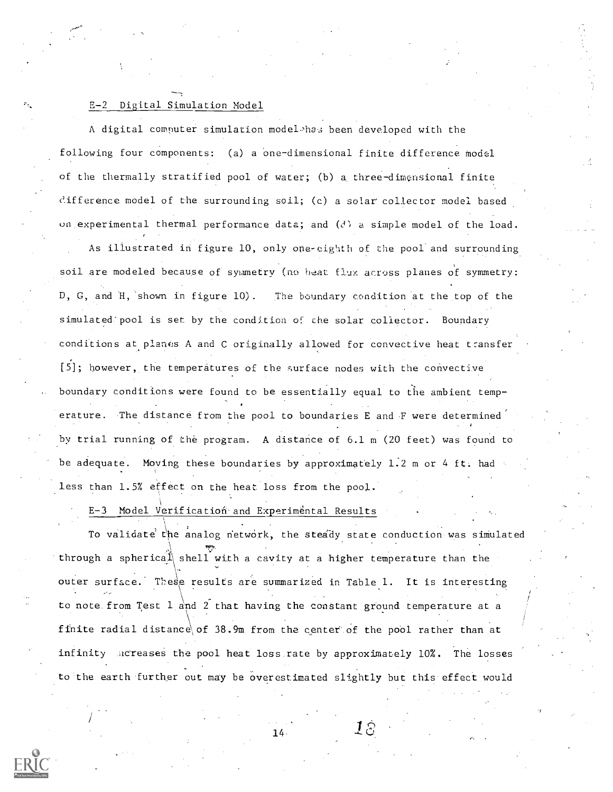#### E-2 Digital Simulation Model

A digital computer simulation model-'has been developed with the following four components: (a) a one-dimensional finite difference model of the thermally stratified pool of water; (b) a. three-dimensional finite clifference model of the surrounding soil; (c) a solar collector model based on experimental thermal performance data; and  $(d)$  a simple model of the load.

As illustrated in figure 10, only one-cighth of the pool and surrounding soil are modeled because of symmetry (no heat flux across planes of symmetry: D, G, and H, shown in figure 10). The boundary condition at the top of the simulated pool is set by the condition of the solar collector. Boundary conditions at planes A and C originally allowed for convective heat transfer [5]; however, the temperatures of the surface nodes with the convective boundary conditions were found to be essentially equal to the ambient temperature. The distance from the pool to boundaries E and F were determined by trial running of the program. A distance of 6.1 m (20 feet) was found to be adequate. Moving these boundaries by approximately 1.2 m or 4 ft. had less than 1.5% effect on the heat loss from the pool.

E-3 Model Verification and Experimental Results

To validate the analog network, the steady state conduction was simulated through a spherical shell with a cavity at a higher temperature than the outer surface. These results are summarized in Table 1. It is interesting to note from Test  $1$  and  $2$  that having the constant ground temperature at a finite radial distance\of 38.9m from the center' of the pool rather than at infinity dcreases the pool heat loss rate by approximately 10%. The losses to 'the earth further out may be overestimated slightly but this effect would

 $\overline{14}$   $\overline{18}$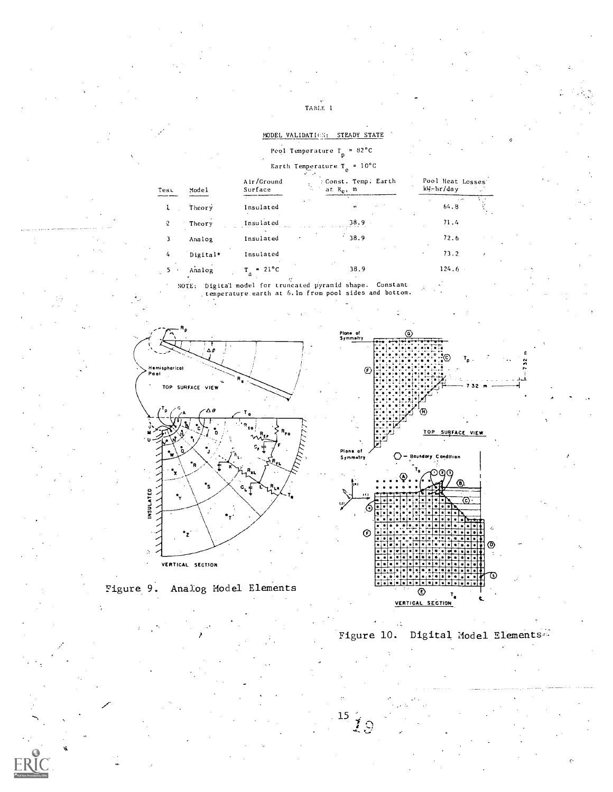#### MODEL VALIDATION: STEADY STATE

### Peol Temperature  $T_p = 82^{\circ}C$

# Earth Temperature  $T_e = 10^{\circ}C$

| Model    | Air/Ground<br>Surface | : Const. Temp. Earth<br>τ.<br>at $R_{\alpha}$ , m<br>$\sim$ . | Pool Heat Losse<br>kW-hr/day |  |
|----------|-----------------------|---------------------------------------------------------------|------------------------------|--|
| Theory   | Insulated             | ×.<br>œ                                                       | $\mathbf{r}$<br>64.8         |  |
| Theory   | Insulated             | 38.9                                                          | 71.4                         |  |
| Analog   | Insulated             | ٠<br>38.9                                                     | 72.6                         |  |
| Digital* | Insulated             |                                                               | 73.2<br>٠                    |  |
| Analog   | $= 21^{\circ}C$       | 38.9                                                          | 124.6                        |  |

Digital model for truncated pyramid shape. Constant<br>temperature earth at 6.1m from pool sides and bottom. NOTE:





lest



Figure 10. Digital Model Elements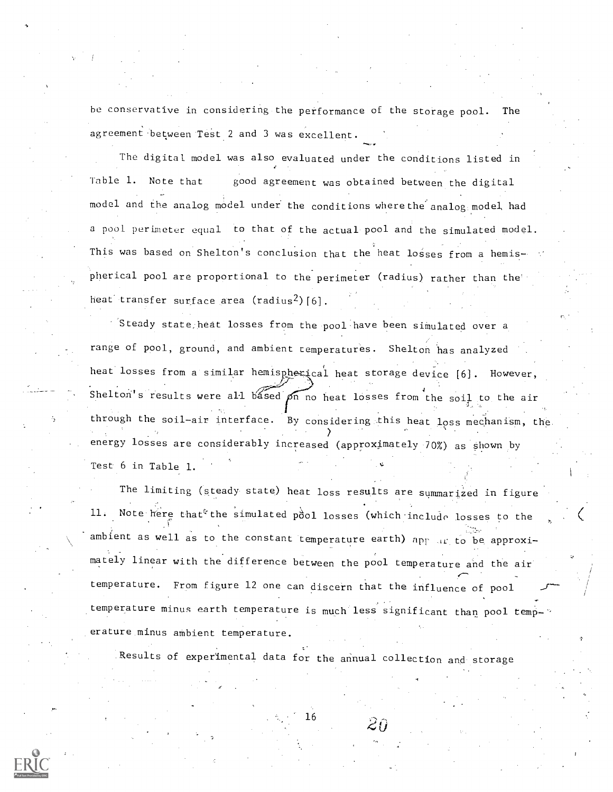he conservative in considering-the performance of the storage pool. The agreement between Test 2 and 3 was excellent.

The digital model was also evaluated under the conditions listed in Table 1. Note that good agreement was obtained between the digital model and the analog model under the conditions where the analog model had a pool perimeter equal to that of the actual pool and the simulated model. This was based on Shelton's conclusion that the heat losses from a hemispherical pool are proportional to the perimeter (radius) rather than the heat transfer surface area  $(radians^2)[6]$ .

 $^{\circ}$  Steady state heat losses from the pool have been simulated over a range of pool, ground, and ambient temperatures. Shelton has analyzed heat losses from a similar hemispherical heat storage device [6]. However, Shelton's results were all based  $\rho_{n}$  no heat losses from the soil to the air through the soil-air interface. By considering this heat loss mechanism, the energy losses are considerably increased (approximately 70%) as shown by Test 6 in Table 1.

The limiting (steady state) heat loss results are summarized in figure 11. Note here that<sup>e</sup> the simulated pool losses (which include losses to the ambient as well as to the constant temperature earth) app ar to be approximately linear with the difference between the pool temperature and the air temperature. From figure 12 one can discern that the influence of pool temperature minus earth temperature is much less significant than pool temp-' erature minus ambient temperature.

Results of experimental data for the annual collection and storage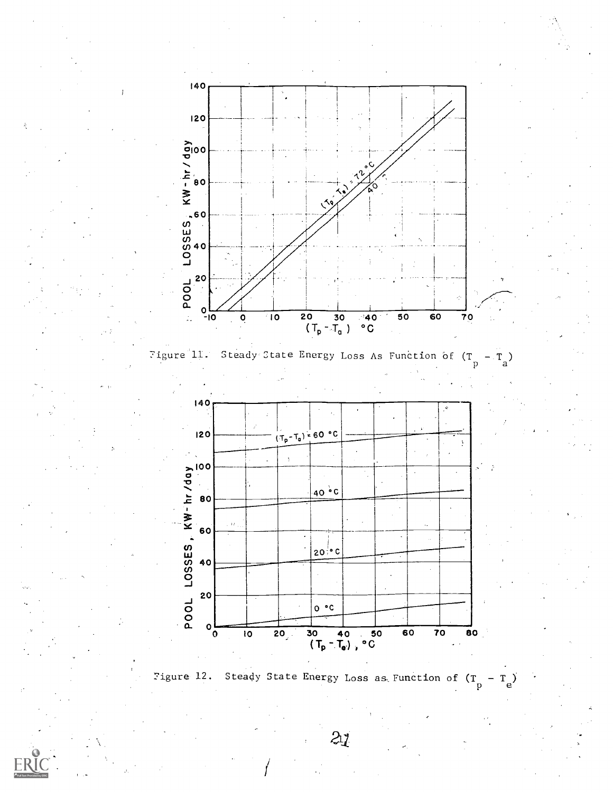





Figure 12. Steady State Energy Loss as Function of  $(T_{D}^{D})$  $-T_e$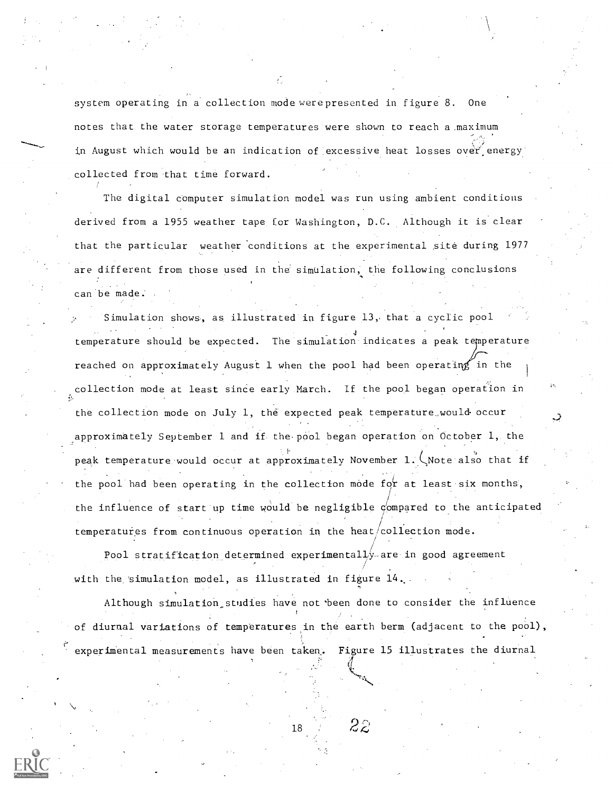system operating in a collection mode were presented in figure 8. One notes that the water storage temperatures were shown to reach a maximum and a state in August which would be an indication of excessive heat losses over energy collected from that time forward.

The digital computer simulation model was run using ambient conditions derived from a 1955 weather tape for Washington, D.C. Although it is clear that the particular weather 'conditions at the experimental site during 1977 are different from those used in the simulation, the following conclusions can be made.

Simulation shows, as illustrated in figure 13,. that a cyclic pool temperature should be expected. The simulation indicates a peak temperature reached on approximately August 1 when the pool had been operating in the collection mode at least since early March. If the pool began operation in the collection mode on July 1, the expected peak temperature.,would occur approximately September 1 and if the pool began operation on October 1, the peak temperature would occur at approximately November 1. CNote also that if the pool had been operating in the collection mode for at least six months, the influence of start up time would be negligible compared to the anticipated temperatures from continuous operation in the heat/collection mode.

Pool stratification determined experimentally. are -in good agreement with the simulation model, as illustrated in figure 14.

Although simulation studies have not been done to consider the influence of diurnal variations of temperatures in the earth berm (adjacent to the pool), experimental measurements have been taken. Figure 15 illustrates the diurnal

18

 $2\overline{z}$ 

-4.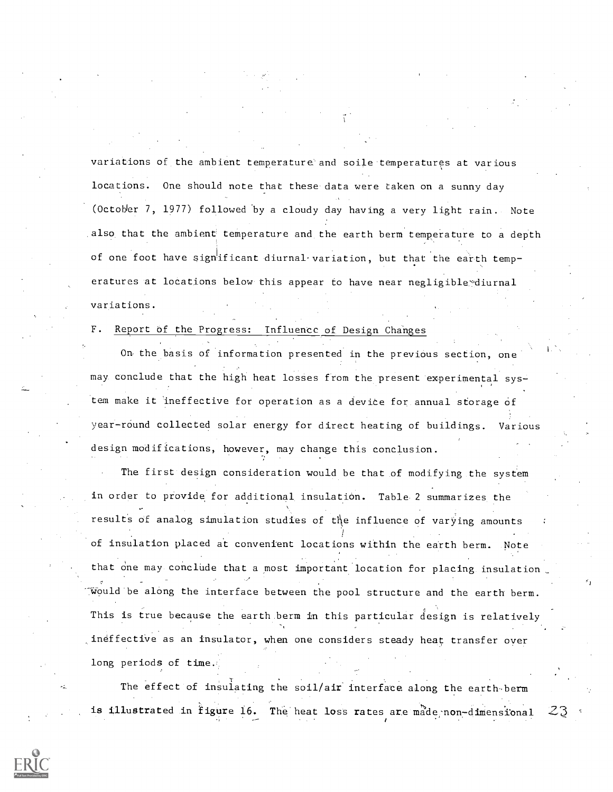variations of the ambient temperature' and soile temperatures at various locations. One should note that these data were taken on a sunny day (October 7, 1977) followed by a cloudy day having a very light rain. Note also that the ambient temperature and the earth berm temperature to a depth of one foot have signtificant diurnal variation, but that the earth temperatures at locations below this appear to have near negligible diurnal variations.

### F. Report of the Progress: Influence of. Design Changes

On the basis of information presented in the previdus section, one may conclude that the high heat losses from the present experimental system make it ineffective for operation as a device for annual storage of year-round collected solar energy for direct heating of buildings. Various design modifications, however, may change this conclusion.

The first design consideration would be that of modifying the system in order to provide for additional insulation. Table 2 summarizes the results of analog simulation studies of the influence of varying amounts of insulation placed at convenient locations within the earth berm. Note that one may conclude that a most important location for placing insulation Would be along the interface between the pool structure and the earth berm. This is true because the earth.berm in this particular design is relatively ineffective as an insulator, when one considers steady heat transfer over long periods of time.

The effect of insulating the soil/air interface along the earth berm is illustrated in figure 16. The heat loss rates are made non-dimensional

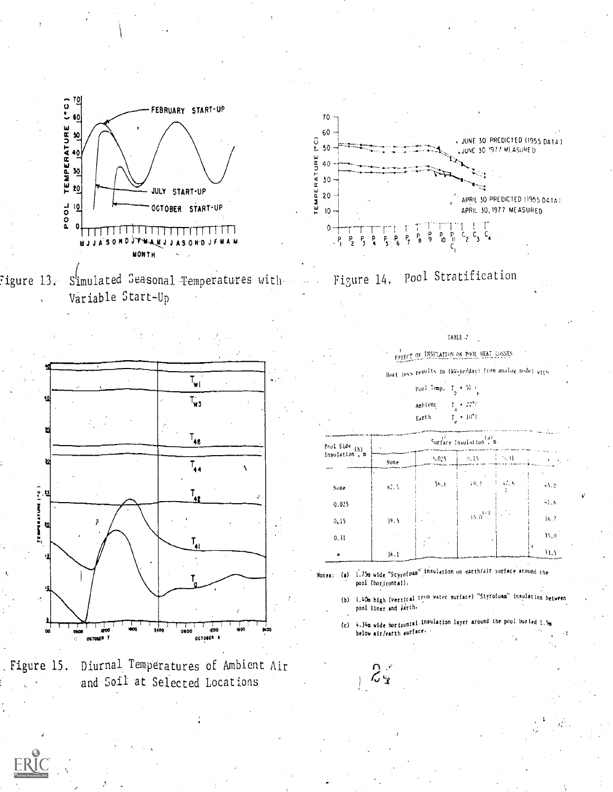











 $\langle \hat{z}_1, \hat{z}_2 \rangle$ 



EFFECT OF INSULATION ON POOL HEAT LOSSES

Seat loss results in (ky-hr/day) from analog model with

 $y_0$ ol Imp. I<sub>n</sub>  $-51.7$ 

> $t_{\rm g} \sim 22\%$ Ambient

 $\dot{\Gamma} \rightarrow 10\ensuremath{''}\mathrm{C}$ Earth

| Poul Side $(b)$ | Surface Insulation <sup>(a)</sup> a |           |              |        |                |
|-----------------|-------------------------------------|-----------|--------------|--------|----------------|
| Insulation , m  | Sone                                | $+0.5$    | $-9.15$      | i 5. H |                |
| Sone            | 6.75                                | 56.6      | $-10 - 1$    | 47.4   | 45.6           |
| 0.025           |                                     |           |              |        | 41.6           |
| 0, 15           | 39.5                                |           | $15.0^{171}$ | .      | M <sub>1</sub> |
| 0, 31           |                                     | $\ddotsc$ |              |        | 15,0           |
|                 | 36.1                                |           |              |        | 11,5           |

Notes: (a) 1.75m wide "Styrofoam" insulation on earth/air surface around the pool (horizontal).

 $2.3$ 

(b) 1.40m high (vertical from water surface) "Styrofoam" insulation between pool liner and larth-

4.34m wide horizontal insulation layer around the pool buried  $1.5<sub>m</sub>$  below air/earth surface.  $(c)$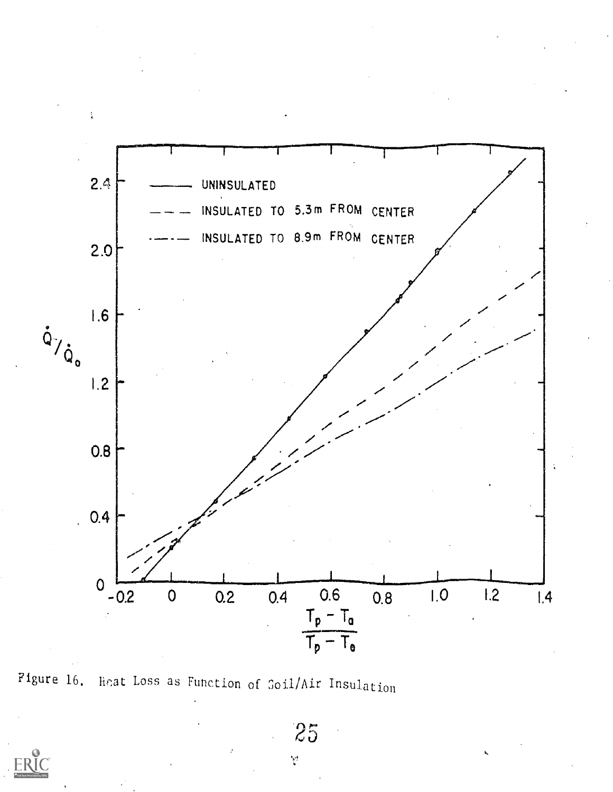

Figure 16. lical Loss as Function of Soil/Air Insulation



 $\hat{V}$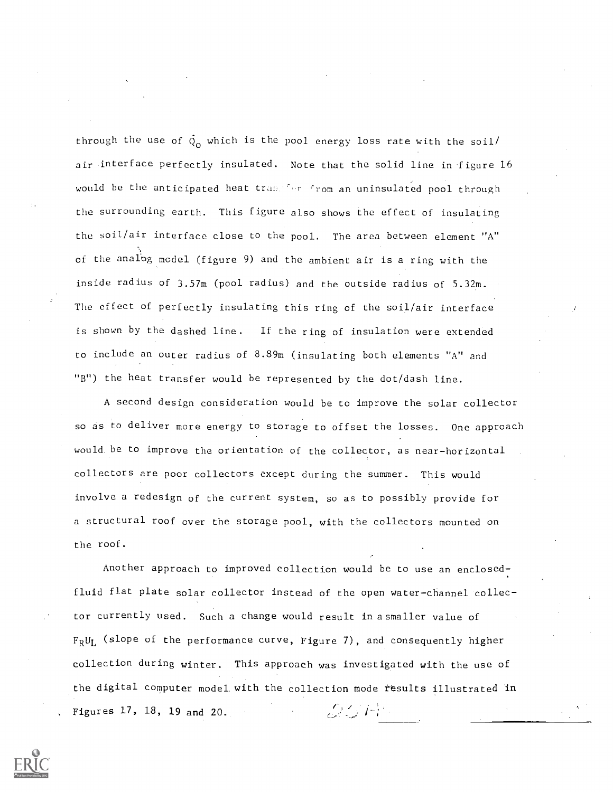through the use of  $\dot{Q}_{o}$  which is the pool energy loss rate with the soil/ air interface perfectly insulated. Note that the solid line in figure 16 would be the anticipated heat tranger from an uninsulated pool through the surrounding earth. This figure also shows the effect of insulating the soil/air interface close to the pool. The area between element "A" of the analog model (figure 9) and the ambient air is a ring with the inside radius of 3.57m (pool radius) and the outside radius of 5.32m. The effect of perfectly insulating this ring of the soil/air interface is shown by the dashed line. If the ring of insulation were extended to include an outer radius of 8.89m (insulating both elements "A" and "B") the heat transfer would be represented by the dot/dash line.

A second design consideration would be to improve the solar collector so as to deliver more energy to storage to offset the losses. One approach would. be to improve the orientation of the collector, as near-horizontal collectors are poor collectors except during the summer. This would involve a redesign of the current system, so as to possibly provide for a structural roof over the storage pool, with the collectors mounted on the roof.

Another approach to improved collection would be to use an enclosedfluid flat plate solar collector instead of the open water-channel collector currently used. Such a change would result in asmaller value of  $F_R U_L$  (slope of the performance curve, Figure 7), and consequently higher collection during winter. This approach was investigated with the use of the digital computer model with the collection mode results illustrated in  $25H<sup>2</sup>$ , Figures 17, 18, 19 and 20.

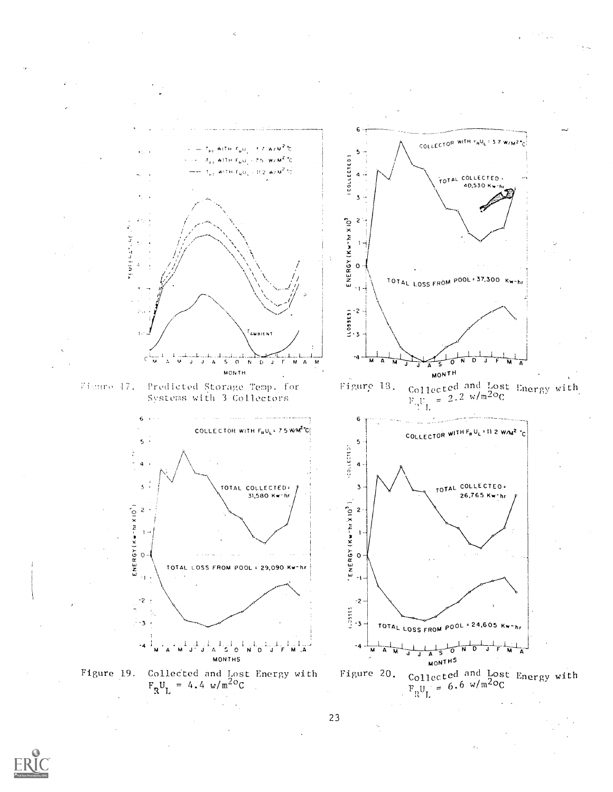

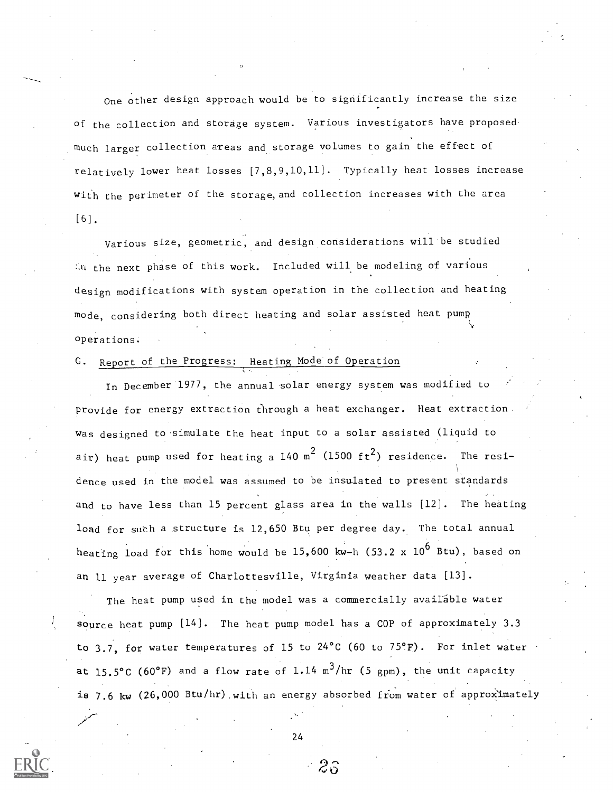One other design approach would be to significantly increase the size of the collection and storage system. Various investigators have proposed much larger collection areas and storage volumes to gain the effect of relatively lower heat losses [7,8,9,10,11]. Typically heat losses increase with the perimeter of the storage, and collection increases with the area [6].

Various size, geometric, and design considerations will be studied the next phase of this work. Included will be modeling of various design modifications with system operation in the collection and heating mode, considering both direct heating and solar assisted heat pump operations.

#### C. Report of the Progress: Heating Mode of Operation

In December 1977, the annual solar energy system was modified to provide for energy extraction through a heat exchanger. Heat extraction was designed to 'simulate the heat input to a solar assisted (liquid to air) heat pump used for heating a 140  ${\tt m}^2$  (1500 ft $^2$ ) residence. The residence used in the model was assumed to be insulated to present standards and to have less than 15 percent glass area in the walls [12]. The heating load for such a structure is 12,650 Btu per degree day. The total annual heating load for this home would be  $15,600$  kw-h (53.2 x  $10^6$  Btu), based on an 11 year average of Charlottesville, Virginia weather data [13].

The heat pump used in the model was a commercially available water source heat pump  $[14]$ . The heat pump model has a COP of approximately 3.3 to 3.7, for water temperatures of 15 to 24°C (60 to 75°F). For inlet water at 15.5°C (60°F) and a flow rate of 1.14 m<sup>3</sup>/hr (5 gpm), the unit capacity is 7.6 kw (26,000 Btu/hr) with an energy absorbed from water of approximately

24

2,3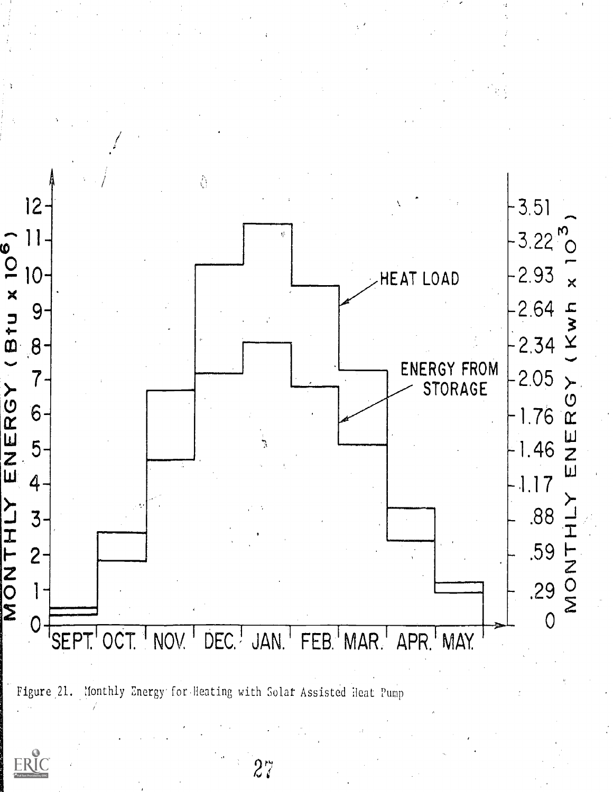

Figure 21. Monthly Energy for Heating with Solar Assisted Heat Pump

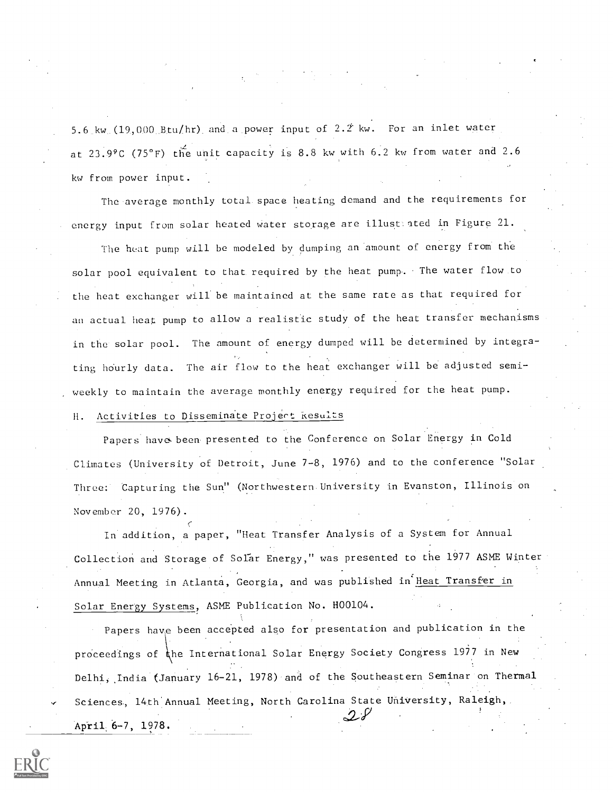5.6 kw  $(19,000 \text{ Btu/hr})$  and a power input of  $2.2$  kw. For an inlet water at 23.99C (75°F) the unit capacity is 8.8 kw with 6.2 kw from water and 2.6 kw from power input.

The average monthly total. space heating demand and the requirements for energy input from solar heated water storage are illust ated in Figure 21.

The heat pump will be modeled by dumping an amount of energy from the solar pool equivalent to that required by the heat pump. The water flow to the heat exchanger will be maintained at the same rate as that required for an actual heat pump to allow a realistic study of the heat transfer mechanisms in the solar pool. The amount of energy dumped will be determined by integrating hourly data. The air flow to the heat exchanger will be adjusted semiweekly to maintain the average monthly energy required for the heat pump.

#### H. Activities to Disseminate Project kesults

Papers have. been presented to the Conference on Solar Energy in Cold Climates (University of Detroit, June 7-8, 1976) and to the conference "Solar Three: Capturing the Sun" (Northwestern University in Evanston, Illinois on November 20, 1976).

In addition, a paper, "Heat Transfer Analysis of a System for Annual  $\overline{\phantom{a}}$ Collection and Storage of Solar Energy," was presented to the 1977 ASME Winter Annual Meeting in Atlanta, Georgia, and was published in Heat Transfer in Solar Energy Systems, ASME Publication No. H00104.

Papers have been accepted also for presentation and publication in the proceedings of the International Solar Energy Society Congress 1977 in New Delhi, India (January 16-21, 1978) and of the Southeastern Seminar on Thermal Sciences, 14th Annual Meeting, North Carolina State University, Raleigh,  $2^{\circ}$ April 6-7, 1978.

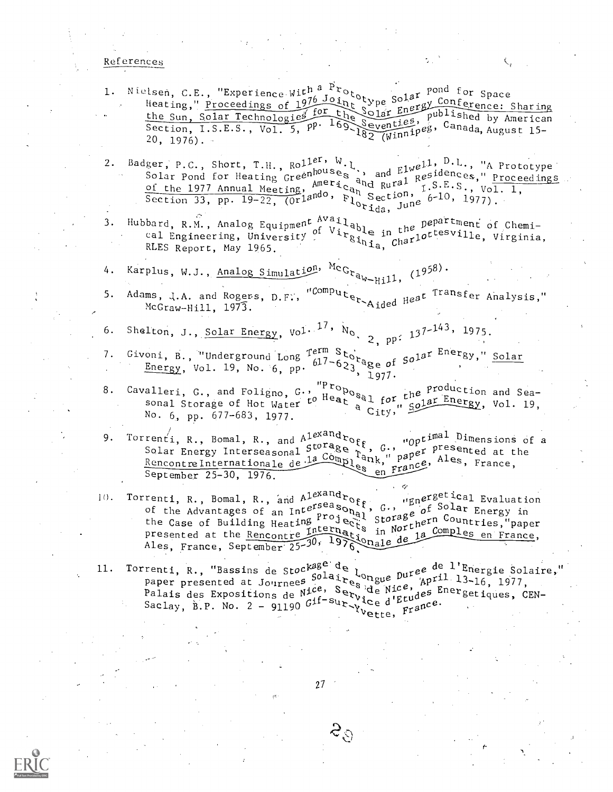#### References

- 1. Nielsen, C.E., "Experience With a Prototype Solar Pond for Space Heating," Proceedings of 1976 Joint Colar Solar Conference: Sharing<br>the Sun school content of for the Solar Energy Conference: Sharing the Sun, Solar Technologies for the Solar Energy published by American<br>Section, I.S.E.S., Vol. 5, PP. 169 Seventies, Canada, August 15-<br>20 1076)  $20, 1976$ .
- 2. Badger, P.C., Short, T.H.,  $Rol<sup>1er, W</sup>$ .<br>Solar Pond for Heating creenhouses, and  $E_1^{1 we11}$ ,  $D.L.,$  "A Prototype Solar Pond for Heating creenhouses," Proceedings Solar Pond for Heating Greenhouses, and Elwesdences," Proceedings<br>Solar Pond for Heating Greenhouses, and Fluesdences," Proceedings Solar rond for meating tree Americand Rural n. S.E.S., Vol. 1, Section 33, pp. 19-22,  $(0r)^{and0}$ ,  $F_{Q}^{up}$  Section, 6-10, 1977).
- Hubbard, R.M., Analog Equipment Available in the pepartment of Chemi- $3.$ bard, R.M., Analog Equipment of Virgble in the extension of virginia,<br>cal Engineering, University of Virginia, Charlottesville, Virginia,
- 4. Karplus, W.J., Analog Simulation, McGraw-Hill, (1958).
- Adams, J.A. and Rogers, D.F., "Computer Aided Heat Transfer Analysis,"  $5.$  $McGraw-Hill, 1973.$
- Shelton, J., Solar Energy, Vol. 17,  $N_0$ , 2, pp: 137-143, 1975. 6.
- Givoni, B., "Underground Long Term Storage of  $50^{1a}$ <sup>Energy</sup>," Solar 7. oni, B., "Underground Long 617-623" age of<br>Energy, Vol. 19, No. 6, pp. 617-623, 1977.
- Cavalleri, G., and Foligno, G., "Proposal for the Production and Sea-<br>to Heat sal for the Energy, Vol. 19, 8. alleri, G., and rollgno, w. 20 Heat Sal for the Sonal Storage of Hot Water to Heat a City," Solar Energy, Vol. 19, No.  $6$ , pp.  $677-683$ , 1977.
- Torrenti, R., Bomal, R., and Alexandroff, G., "Optimal Dimensions of a<br>Solar Energy Interseasonal Storage 1, G., "Optimal Dimensions of a<br>Rencontrainternationals de la Complent," paper ales, France,  $9.$ Solar Energy Interseasonal Ja Complex " paper, Ales, France, September 25-30, 1976.
- 10. Torrenti, R., Bomal, R., and Alexandroff, G., "Energetical Evaluation<br>of the Advantages of an Interseasonal, G., "E of Solar Energy in<br>the Case of Building Hoating Project Storage of Solar Energy in or the Advantages or an iner projects storage or Countries,"<br>the Case of Building Heating Projects in Northern Countries," 'paper presented at the Rencontre International in Northern Comples en France,<br>Ales, France, September 25-30, 1976, Onale de la Comples en France,
- 11. Torrenti, R., "Bassins de Stockage de l'ongue Duree de l'Energie Solaire, renti, R., Bassins de Stur Solair Congue Dure.<br>paper presented at Journees Solaires de Nice, April 13-16, 1977, Palais des Expositions de Nice, Service d'Etudes Energetiques, CEN-Palais des Expositions de "Gif-Sur-Vice d'Etu-<br>Saclay, B.P. No. 2 - 91190 Gif-Sur-Yvette, France.



 $\mathcal{S}_{\hat{O}}$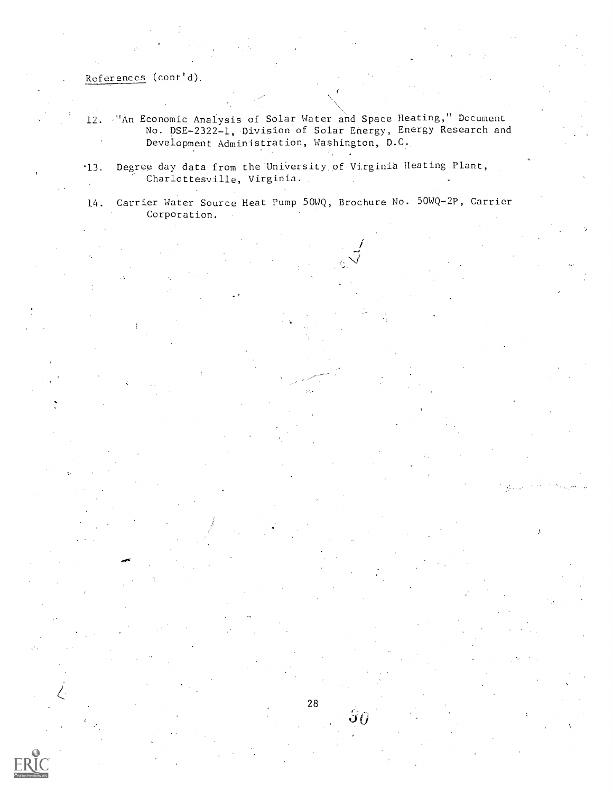References (cont'd).

- 12. -"An Economic Analysis of Solar Water and Space Heating," Document No. DBE-2322-1, Division of Solar Energy, Energy Research and Development Administration, Washington, D.C.
- '13. Degree day data from the University of Virginia Heating Plant, Charlottesville, Virginia.

14. Carrier Water Source Heat Pump 50WQ, Brochure No. 50WQ-2P, Carrier Corporation.

 $\delta\theta$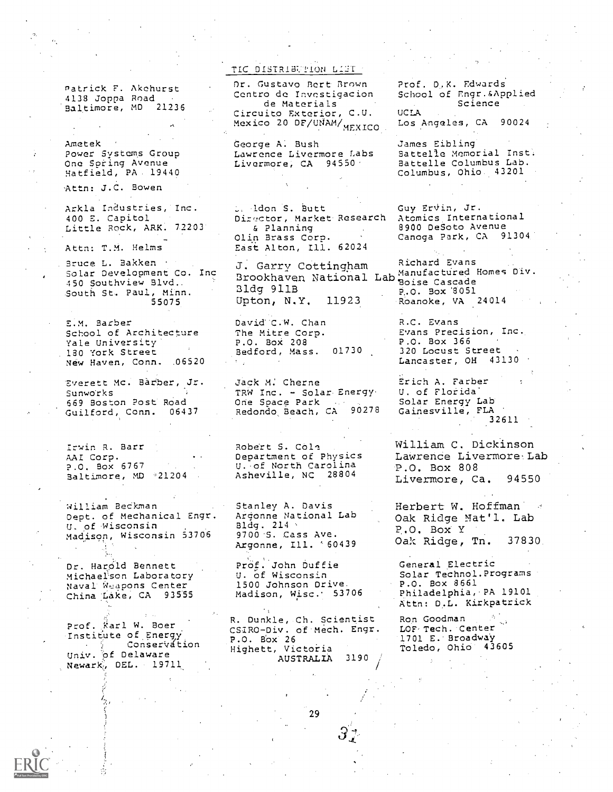Patrick F. Akchurst 4138 Joppa Road 'Baltimore, MD 21236

Ametek Power Systems Group One Spring Avenue Hatfield, PA 19440

Attn: J.C. Bowen

Arkla Industries, Inc. 400 E. Capitol Little Rock, ARK. 72203'

Attn: T.M. Helms

Bruce L. Bakken Bruce L. Baxxen<br>Solar Development Co. Inc Brookbaxon National 450 Southview Blvd.. South St, Paul, Minn.<br>South St, Paul, Minn.<br>55075 Upton, N.Y. 11923 55075

E.M. Barber School of Architecture<br>Yale University Yale University' . 130 York Street New Haven, Conn. .06520

Everett Mc. Barber, Jr. Sunworks 669 Boston Post' Road Guilford, Conn. 06437

Irwin R. Barr AAI Corp. P.O. Box 6767 Baltimore, MD 021204 .

William BeCkman Dept. of Mechanical Engr. U. of Wisconsin Madison, Wisconsin 53706

Dr. Harold Bennett Michael'son Laboratory Naval Weapons Center China Lake, CA 93555

Prof. Karl W. Boer Institute of Energy **Conservation** Univ. pf Delaware Newark, DEL. 19711

#### TIC DISTRIBUTION LIST

Dr. Gustavo Bert Brown Centro dc Invcstigacion de Materials Circuito Exterior, C.U. Mexico 20 DF/UNAM/ MEXICO

George A: Bush Lawrence Livermore labs Livermore, CA 94550 ·

. Idon S. Butt Director, Market Research & Planning Olin Brass Corp. East Alton, Ill. 62024

st sair, coccingnam.<br>Brookhaven National Lab Boise Cascade Bldg 911B national Basise Cascade<br>Bldg 911B p.o. Box 8051

David C.W. Chan The Mitre Corp. P.O. Box 208 Bedford, Mass. 01730

Jack M: Cherne TRW Inc. - Solar Energy One Space Park<br>Redondo Beach, CA 90278

Robert S. C011 Department of Physics U.-of North Carolina Asheville, NC 28804

Stanley A. Davis Argonne National Lab Bldg.  $214$ 9700-S. Cass Ave. Argonne, Ill. '60439

Prof. John Duffie U. of Wisconsin 1500 Johnson Drive. Madison, Wisc. 53706

R. Dunkle, Ch. Scientist CSZRO-Div. of Mech. Engr. P.O. Box 26 Highett, Victoria AUSTRALIA 3190 ,

Prof. D.K. Edwards School of Engr.&Applied Science UCLA Los Angeles, CA 90024

James Eibling Battelle Memorial Inst. Battelle Columbus Lab. Columbus, Ohio 43201

Guy ErVin, Jr. Atomics International 8900 DeSoto Avenue Canoga Park, CA 91304

J. Garry Cottingham Richard Evans P.O. Box '3051 Roanoke, VA 24014

> R.C. Evans Evans Precision, Inc. P.O. Box 366 320 Locust Street Lancaster, OH 43130

Erich A. Farber U. of Florida' Solar Energy Lab Gainesville, FLA 32611

William C. Dickinson Lawrence Livermore Lab P.O. Box 808<br>Livermore, Ca. 94550 Livermore, Ca.

Herbert W. Hoffman 3 Oak Ridge Nat'l. Lab P.O. Box Y Oak Ridge, Tn. 37830

General Electric Solar Technol.Programs P.O. Box 8661 Philadelphia,.PA 19101 Attn: D.L. Kirkpatrick

Ron Goodman and S<sub>ext</sub> LOF- Tech. Center 1701 E.'Broadway Toledo, Ohio 43605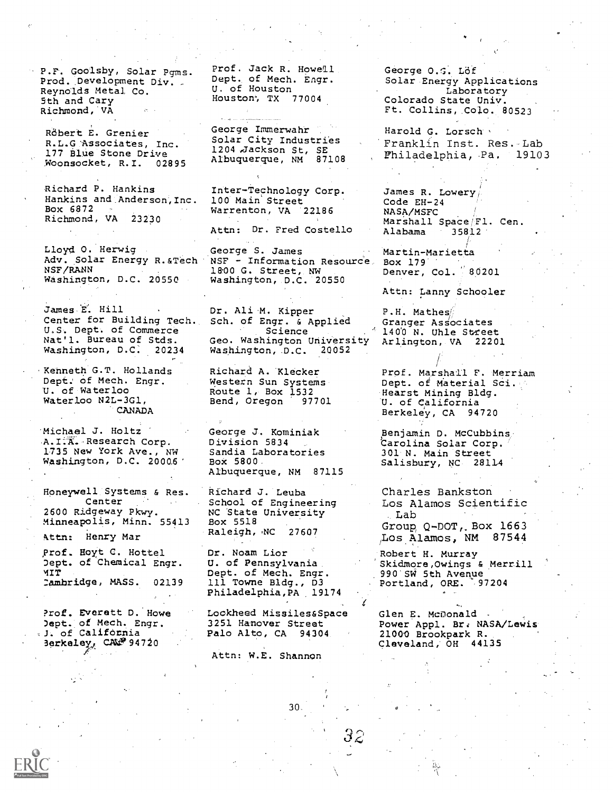P.F. Goolsby, Solar Pgms. Prod. Development Div. Reynolds Metal Co. 5th and Cary Richmond,'VA

Röbert E. Grenier R.L.G 'Associates, Inc. 177 Blue Stone Drive Woonsocket, R.I. 02895

Richard P. Hankins Hankins and Anderson, Inc. Box 6872<br>Richmond, VA 23230 Richmond, VA

Lloyd 0. Herwig Adv. Solar Energy R. &Tech NSF/RANN Washington, D.C. 20550

James E. Hill Center for Building Tech. U,S. Dept. of Commerce Nat'l. Bureau of Stds. Washington, D.C: 20234

Kenneth G.T. Hollands Dept. of Mech. Engr. U. of Waterloo Waterloo N2L-3G1, CANADA

'Michael J. Holtz A.I.A. Research Corp. 1735 New York Ave., NW Washington, D.C. 20006'

Honeywell Systems & Res. Center 2600 Ridgeway Pkwy. Minneapolis, Minn. 55413

kttn: Henry Mar

,Prof. Hoyt C. Hottel Dept. of Chemical Engr. 'IT :ambridge, MASS. 02139

?rof. Everett D. Howe Dept. of Mech. Engr. J. of California Berkeley, CAMP 94720

Prof. Jack R. Howell Dept. of Mech. Engr. U. of Houston Houston, TX 77004

George Immerwaht Solar City Industries 1204, ackson St, SE Albuquerque, NM 87108

Inter-Technology Corp. 100 Main Street Warrenton, VA 22186

Attn: Dr. Fred Costello

George S. James NSF - Information Resource Box 179 18.00 G. Street, NW Washington, D.C. 20550

Dr. Ali M. Kipper Sch. of Engr. & Applied Science Geo. Washington University Washington, D.C. 20052

Richard A. 'Klecker Western Sun Systems Route 1, Box 1532<br>Bend, Oregon 97701 Bend, Oregon

George J. Kominiak Division 5834 Sandia Laboratories BOX 5800. Albuquerque, NM 87115

Richard J. Leuba School of Engineering NC State University Box 5518<br>Raleigh, NC 27607 Raleigh, NC

Dr. Noam Lior U. of Pennsylvania Dept. of Mech. Engr. 111 Towne Bldg., D3 Philadelphia,PA 19174

Lockheed Missiles&Space Glen E. McDonald . 3251 Hanover Street Palo Alto, CA 94304

30

Attn: W.E. Shannon

George O.G. Lof Solar Energy Applications Laboratory Colorado State Univ. Ft. Collins,.Colo. 80523

Harold G. Lorsch Franklin Inst. Res. Lab Philadelphia, Pa, 19103

James R. Lowery, Code EH-24 NASA/MSFC Marshall Space/Fl. Cen.<br>Alabama 35812 Alabama

Martin-Marietta Denver,  $Col.$  80201

Attn: Lanny Schooler

P.H. Mathes'. Granger Associates 1400 N. Uhle Street Arlington, VA 22201

Prof. Marshall F. Merriam Dept. of Material Sci. Hearst Mining Bldg. 'U. of California Berkeley, CA 94720

Benjamin D. McCubbins/ 'Carolina Solar Corp.` 301 N. Main Street Salisbury, NC 28114

Charles Bankston Los Alamos Scientific . Lab Group Q-DOT,. Box 1663 ,Los Alamos, NM 87544

Robert H. Murray Skidmore,Owings & Merrill 990'SW 5th Avenue Portland, ORE. 97204

Power Appl. Br: NASA/Lewis 21000 Brookpark R. Cleveland,' OH 44135

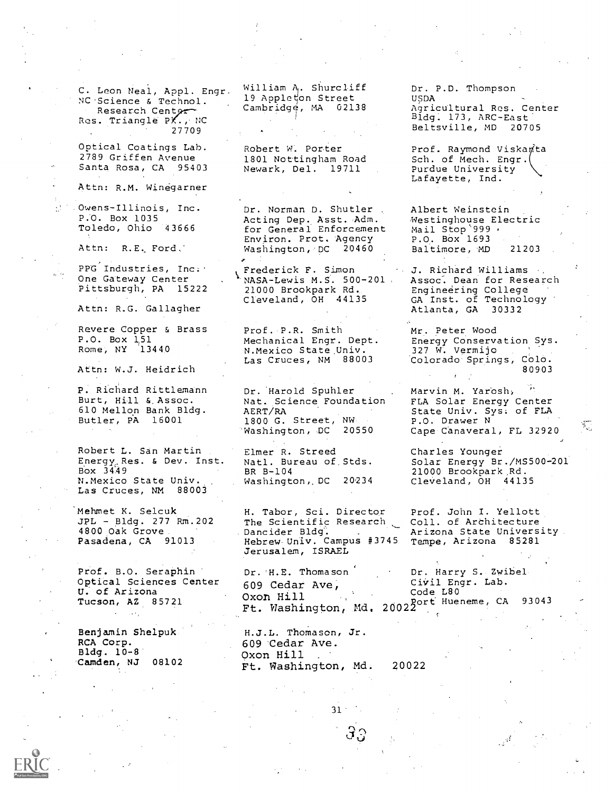C. Leon Neal, Appl. Engr. NC Science & Technol. Research Cent9-- Res. Triangle PX., NC 27709

Optical Coatings Lab. 2789 Griffen Avenue Santa Rosa, CA 95403

Attn: R.M. Winegarner

P.O. Box 1035 Toledo, Ohio 43666

Attn: R.E. Ford,'

PPG Industries, Inc. One Gateway Center Pittsburgh, PA 15222

Attn: R.G. Gallagher

Revere Copper & Brass P.O. Box 1,51 Rome, NY 13440

Attn: W.J. Heidrich

P. Richard Rittlemann Burt, Hill & Assoc. 610 Mellon Bank Bldg. Butler, PA 16001

Robert L. San Martin Energy<sub>c</sub> Res. & Dev. Inst. Bbx 3449 N.Mexico State Univ. Las Cruces, NM 88003

Mehmet K. Selcuk JPL - Bldg. 277 Rm.202 4800 Oak Grove Pasadena, CA 91013

Prof. B.O. Seraphin Optical Sciences Center U. of Arizona Tucson, AZ 85721

Benjamin Shelpuk RCA Corp. Bldg. 10-8. Camden, NJ 08102

 $\alpha$  -  $\alpha$  -  $\alpha$ 

William  $A_i$ . Shurcliff 19 Appleton Street Cambridge, MA 02138

Robert W. Porter 1801 Nottingham Road Newark, Del. 19711

Owens-Illinois, Inc. Dr. Norman D. Shutler Acting Dep. Asst. Adm. for General Enforcement Environ. Prot. Agency Washington, DC 20460

> Frederick F. Simon NASA-Lewis M.S. 500-201. 21000 Brookpark Rd. Cleveland, OH 44135

Prof. P.R. Smith Mechanical Engr. Dept. Las Cruces, NM 88003

Dr. 'Harold Spuhler Nat. Science Foundation AERT/RA 1800 G. Street, NW Washington, DC

Elmer R. Streed Natl. Bureau of Stds. BR B-104<br>Washington, DC 20234 Washington, DC

H. Tabor, Sci. Director The Scientific Research<br>Dancider Bldg. Hebrew-Univ. Campus #3745 Jerusalem, ISRAEL

Dr. H.E. Thomason 609 Cedar Ave, Oxon Hill<br>
Oxon Hill (Code L80) Oxon Hill<br>Ft. Washington, Md. 200220rt Hueneme, CA 93043

H.J.L. Thomason, Jr. 609 'Cedar Ave. Oxon Hill Ft. Washington, Md. 20022

Dr. P.D. Thompson USDA Agricultural Res. Center Bldg. 173, ARC-East' Beltsville, MD 20705

Prof. Raymond Viskanta Sch. of Mech. Engr. Purdue University Lafayette, Ind.

Albert Weinstein Westinghouse Electric Mail Stop '999 P.O. Box 1693<br>Baltimore, MD 21203 Baltimore, MD

J. Richard Williams Assoc. Dean for Research Engineering College GA Inst. of Technology Atlanta, GA 30332

N.Mexico State Univ. 327 W. Vermijo (1998)<br>Las Cruces, NM 88003 (Colorado Springs, Colo. Mr. Peter Wood Energy Conservation Sys. 327 W. Vermijo<br>Colorado Springs, Colo. 80903

> Marvin M. Yarosh., FLA Solar Energy Center State Univ. Sys: of FLA P.O. Drawer N Cape Canaveral, FL 32920

Charles Younger Solar Energy Br./MS500-201 21000 Brookpark Rd. Cleveland, OH 44135

Prof. John I. Yellott Coll. of Architecture Arizona State University Tempe, Arizona 85281

Dr. Harry S. Zwibel CiVil Engr. Lab.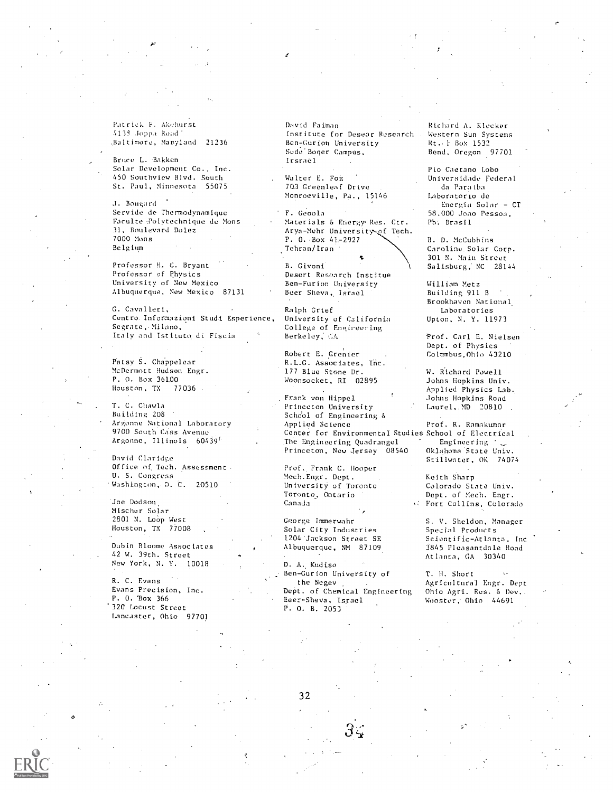Patrick F. Akehurst 4138 Joppa Road' ,Halt imore, Maryland 21236

Bruce L. Bakken Solar Development Co., Inc. 450 Southview Blvd. South St. Paul, Minnesota 55075

J. Bongard Servide de Thermodynamique Faculte Polytechnique de Mons 31, Boulevard Dolez 7000 Mons Belgium

Professor H. C. Bryant Professor of Physics University of New Mexico Albuquerque, New Mexico 87131

G. Cavalleri, Centro. Informazioni Studi Esperience, Segrate,.Milano, Italy and Istituto di. Fiscia

Patsy S. Chappelear McDermott Hudson Engr. P. O. Box 361.00<br>Houston, TX 77036 Houston, TX

T. C. Chawla Building 208 Argonne National Laboratory 9700 South Cass Avenue Argonne. Illinois 60439(

David Claridge Office of Tech. Assessment U. S. Congress Washington, D. C. 20510

Joe Dodson, Mischer Solar 2801 N. Loop West Houston, TX 77008

Dubin Bloome Associates 42 W. 39th. Street New York, N. Y. 10018

R. C. Evans Evans Precision, Inc. P. O. 'Box 366 '320 Locust Street Lancaster, Ohio 97701 David Faiman Institute for Desear Research Ben - Gurion University Sede Boqer Campus, Irsrael

Walter E. Fox 70-3 Greenleaf Drive Monroeville, Pa., 15146

F. Geoola Materials 5 Energy' Res. Ctr. Arya-Mehr University of Tech. P. 0. Box 41.-2927 Tehran/Iran

B. Givoni Desert Research Institue Ben-Furion University Beer Sheva, Israel

Ralph Grief University of California College of Engineering Berkeley;

Robert E. Crenier R.L.G. Associates, 177 Blue Stone Dr. Woonsocket, RI 02895

Frank von Hippel Princeton University School of Engineering &<br>Applied Science Center for Environmental Studies School of Electrical The Engineering Quadrangel <sup>2</sup> Engineering<br>Princeton, New Jersey 08540 0klahoma State Univ. Princeton, New Jersey 08540

Prof,. Frank C. Hooper Mech.Engr. Dept. University of Toronto Toronto, Ontario Canada

George Immerwahr Solar City Industries 1204'Jackson Street SE Albuquerque, NM 87109.

D. A. Kudise Ben-Gurion University of the Negev Dept. of Chemical Engineering Beer-Sheva, Israel P. O. B. 2053

Richard A. Klecker Western Sun Systems Rt.: 1 Box 1532 Bend, Oregon 97701

Pio Caetano Lobo Universidade Federal da Paraiba Laboratorio de Energia Solar - CT 58.000 Joao Pessoa, Ph: Brasil

B. D. McCubbins Caroline. Solar Corp. 301 N. Main Street Salisburg, NC 28144

William Metz Building 911 B Brookhaven National. Laboratories Upton, N. Y. 11973

Prof. Carl E. Nielsen Dept. of Physics Colnmbus,Ohio 43210

W. Richard Powell Johns Hopkins Univ. Applied Physics Lab. .Johns Hopkins Road Laurel,. MD 20810 .

Prof. R. Ramakumar Stillwater, OK 74074

Keith Sharp Colorado State Univ. Dept. of Mech. Engr. Fort Collins, Colorado

S. V. Sheldon, Manager Special Products Scientific-Atlanta. Inc 3845 Pleasantdale Road Atlanta, GA 30340

T. H. Short Agricultural Engr. Dept Ohio Agri. Res. 5 Dev.. Wooster; Ohio 44691